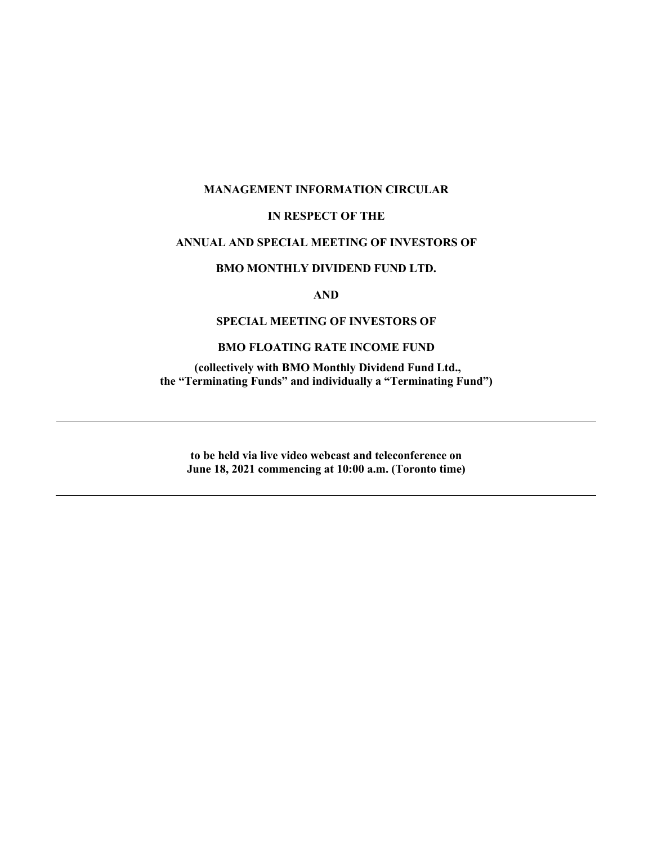# **MANAGEMENT INFORMATION CIRCULAR**

# **IN RESPECT OF THE**

# **ANNUAL AND SPECIAL MEETING OF INVESTORS OF**

# **BMO MONTHLY DIVIDEND FUND LTD.**

## **AND**

# **SPECIAL MEETING OF INVESTORS OF**

# **BMO FLOATING RATE INCOME FUND**

**(collectively with BMO Monthly Dividend Fund Ltd., the "Terminating Funds" and individually a "Terminating Fund")**

**to be held via live video webcast and teleconference on June 18, 2021 commencing at 10:00 a.m. (Toronto time)**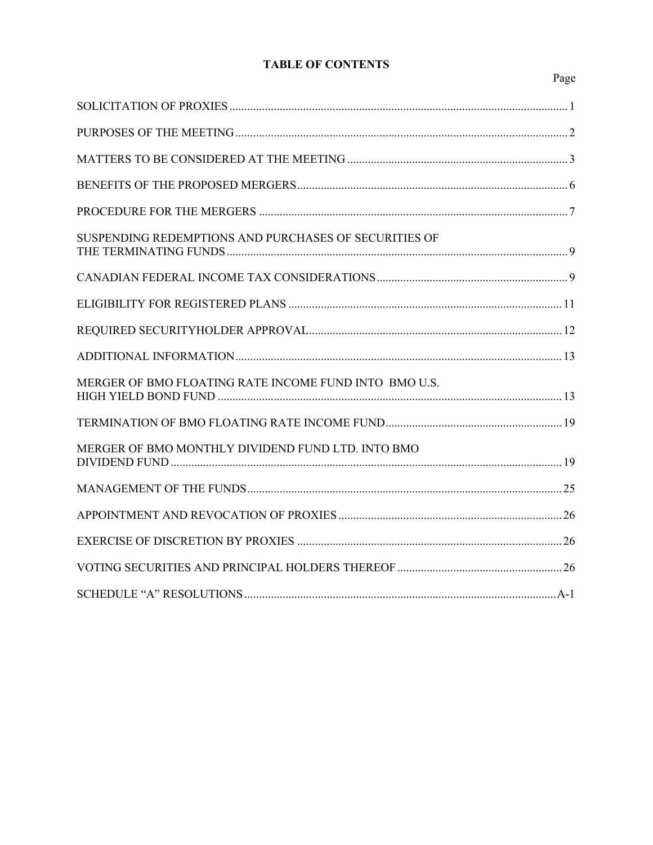# **TABLE OF CONTENTS**

|                                                       | Page |
|-------------------------------------------------------|------|
|                                                       |      |
|                                                       |      |
|                                                       |      |
|                                                       |      |
|                                                       |      |
| SUSPENDING REDEMPTIONS AND PURCHASES OF SECURITIES OF |      |
|                                                       |      |
|                                                       |      |
|                                                       |      |
|                                                       |      |
| MERGER OF BMO FLOATING RATE INCOME FUND INTO BMO U.S. |      |
|                                                       |      |
| MERGER OF BMO MONTHLY DIVIDEND FUND LTD. INTO BMO     |      |
|                                                       |      |
|                                                       |      |
|                                                       |      |
|                                                       |      |
|                                                       |      |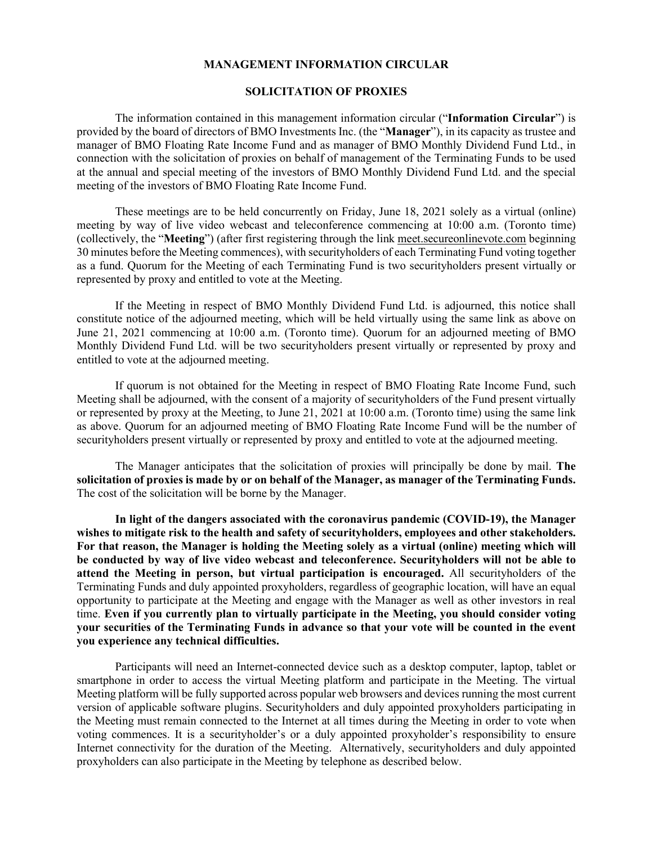### **MANAGEMENT INFORMATION CIRCULAR**

# **SOLICITATION OF PROXIES**

<span id="page-2-0"></span>The information contained in this management information circular ("**Information Circular**") is provided by the board of directors of BMO Investments Inc. (the "**Manager**"), in its capacity as trustee and manager of BMO Floating Rate Income Fund and as manager of BMO Monthly Dividend Fund Ltd., in connection with the solicitation of proxies on behalf of management of the Terminating Funds to be used at the annual and special meeting of the investors of BMO Monthly Dividend Fund Ltd. and the special meeting of the investors of BMO Floating Rate Income Fund.

These meetings are to be held concurrently on Friday, June 18, 2021 solely as a virtual (online) meeting by way of live video webcast and teleconference commencing at 10:00 a.m. (Toronto time) (collectively, the "**Meeting**") (after first registering through the link meet.secureonlinevote.com beginning 30 minutes before the Meeting commences), with securityholders of each Terminating Fund voting together as a fund. Quorum for the Meeting of each Terminating Fund is two securityholders present virtually or represented by proxy and entitled to vote at the Meeting.

If the Meeting in respect of BMO Monthly Dividend Fund Ltd. is adjourned, this notice shall constitute notice of the adjourned meeting, which will be held virtually using the same link as above on June 21, 2021 commencing at 10:00 a.m. (Toronto time). Quorum for an adjourned meeting of BMO Monthly Dividend Fund Ltd. will be two securityholders present virtually or represented by proxy and entitled to vote at the adjourned meeting.

If quorum is not obtained for the Meeting in respect of BMO Floating Rate Income Fund, such Meeting shall be adjourned, with the consent of a majority of securityholders of the Fund present virtually or represented by proxy at the Meeting, to June 21, 2021 at 10:00 a.m. (Toronto time) using the same link as above. Quorum for an adjourned meeting of BMO Floating Rate Income Fund will be the number of securityholders present virtually or represented by proxy and entitled to vote at the adjourned meeting.

The Manager anticipates that the solicitation of proxies will principally be done by mail. **The solicitation of proxies is made by or on behalf of the Manager, as manager of the Terminating Funds.** The cost of the solicitation will be borne by the Manager.

**In light of the dangers associated with the coronavirus pandemic (COVID-19), the Manager wishes to mitigate risk to the health and safety of securityholders, employees and other stakeholders. For that reason, the Manager is holding the Meeting solely as a virtual (online) meeting which will be conducted by way of live video webcast and teleconference. Securityholders will not be able to attend the Meeting in person, but virtual participation is encouraged.** All securityholders of the Terminating Funds and duly appointed proxyholders, regardless of geographic location, will have an equal opportunity to participate at the Meeting and engage with the Manager as well as other investors in real time. **Even if you currently plan to virtually participate in the Meeting, you should consider voting your securities of the Terminating Funds in advance so that your vote will be counted in the event you experience any technical difficulties.**

Participants will need an Internet-connected device such as a desktop computer, laptop, tablet or smartphone in order to access the virtual Meeting platform and participate in the Meeting. The virtual Meeting platform will be fully supported across popular web browsers and devices running the most current version of applicable software plugins. Securityholders and duly appointed proxyholders participating in the Meeting must remain connected to the Internet at all times during the Meeting in order to vote when voting commences. It is a securityholder's or a duly appointed proxyholder's responsibility to ensure Internet connectivity for the duration of the Meeting. Alternatively, securityholders and duly appointed proxyholders can also participate in the Meeting by telephone as described below.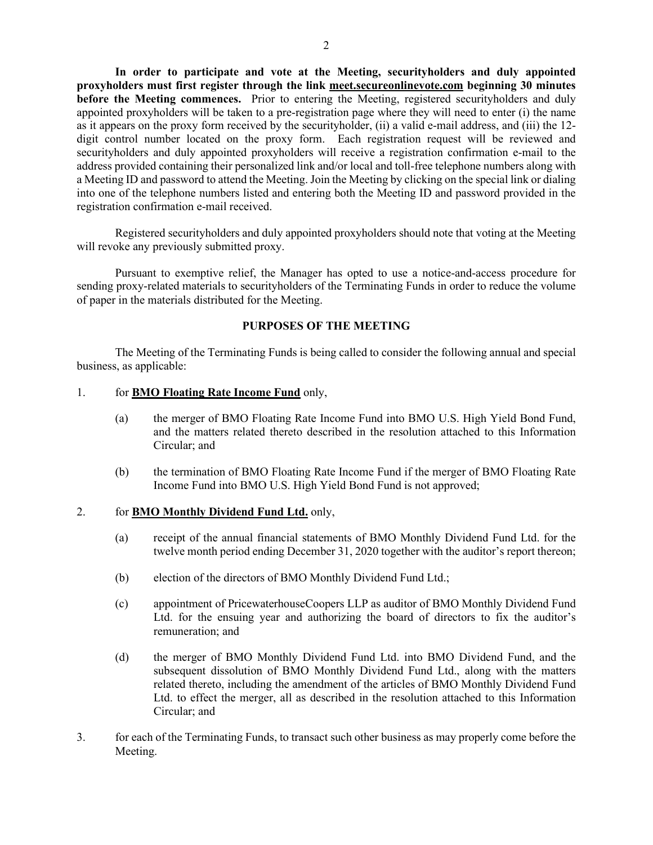**In order to participate and vote at the Meeting, securityholders and duly appointed proxyholders must first register through the link meet.secureonlinevote.com beginning 30 minutes before the Meeting commences.** Prior to entering the Meeting, registered securityholders and duly appointed proxyholders will be taken to a pre-registration page where they will need to enter (i) the name as it appears on the proxy form received by the securityholder, (ii) a valid e-mail address, and (iii) the 12 digit control number located on the proxy form. Each registration request will be reviewed and securityholders and duly appointed proxyholders will receive a registration confirmation e-mail to the address provided containing their personalized link and/or local and toll-free telephone numbers along with a Meeting ID and password to attend the Meeting. Join the Meeting by clicking on the special link or dialing into one of the telephone numbers listed and entering both the Meeting ID and password provided in the registration confirmation e-mail received.

Registered securityholders and duly appointed proxyholders should note that voting at the Meeting will revoke any previously submitted proxy.

Pursuant to exemptive relief, the Manager has opted to use a notice-and-access procedure for sending proxy-related materials to securityholders of the Terminating Funds in order to reduce the volume of paper in the materials distributed for the Meeting.

# **PURPOSES OF THE MEETING**

<span id="page-3-0"></span>The Meeting of the Terminating Funds is being called to consider the following annual and special business, as applicable:

# 1. for **BMO Floating Rate Income Fund** only,

- (a) the merger of BMO Floating Rate Income Fund into BMO U.S. High Yield Bond Fund, and the matters related thereto described in the resolution attached to this Information Circular; and
- (b) the termination of BMO Floating Rate Income Fund if the merger of BMO Floating Rate Income Fund into BMO U.S. High Yield Bond Fund is not approved;

# 2. for **BMO Monthly Dividend Fund Ltd.** only,

- (a) receipt of the annual financial statements of BMO Monthly Dividend Fund Ltd. for the twelve month period ending December 31, 2020 together with the auditor's report thereon;
- (b) election of the directors of BMO Monthly Dividend Fund Ltd.;
- (c) appointment of PricewaterhouseCoopers LLP as auditor of BMO Monthly Dividend Fund Ltd. for the ensuing year and authorizing the board of directors to fix the auditor's remuneration; and
- (d) the merger of BMO Monthly Dividend Fund Ltd. into BMO Dividend Fund, and the subsequent dissolution of BMO Monthly Dividend Fund Ltd., along with the matters related thereto, including the amendment of the articles of BMO Monthly Dividend Fund Ltd. to effect the merger, all as described in the resolution attached to this Information Circular; and
- 3. for each of the Terminating Funds, to transact such other business as may properly come before the Meeting.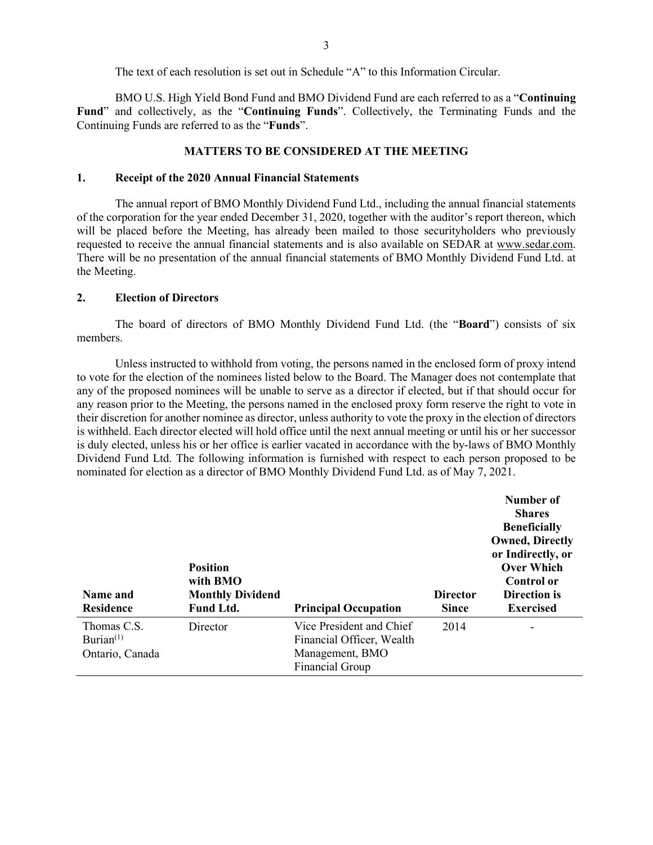The text of each resolution is set out in Schedule "A" to this Information Circular.

BMO U.S. High Yield Bond Fund and BMO Dividend Fund are each referred to as a "**Continuing Fund**" and collectively, as the "**Continuing Funds**". Collectively, the Terminating Funds and the Continuing Funds are referred to as the "**Funds**".

## **MATTERS TO BE CONSIDERED AT THE MEETING**

### <span id="page-4-0"></span>**1. Receipt of the 2020 Annual Financial Statements**

The annual report of BMO Monthly Dividend Fund Ltd., including the annual financial statements of the corporation for the year ended December 31, 2020, together with the auditor's report thereon, which will be placed before the Meeting, has already been mailed to those securityholders who previously requested to receive the annual financial statements and is also available on SEDAR at www.sedar.com. There will be no presentation of the annual financial statements of BMO Monthly Dividend Fund Ltd. at the Meeting.

### **2. Election of Directors**

The board of directors of BMO Monthly Dividend Fund Ltd. (the "**Board**") consists of six members.

Unless instructed to withhold from voting, the persons named in the enclosed form of proxy intend to vote for the election of the nominees listed below to the Board. The Manager does not contemplate that any of the proposed nominees will be unable to serve as a director if elected, but if that should occur for any reason prior to the Meeting, the persons named in the enclosed proxy form reserve the right to vote in their discretion for another nominee as director, unless authority to vote the proxy in the election of directors is withheld. Each director elected will hold office until the next annual meeting or until his or her successor is duly elected, unless his or her office is earlier vacated in accordance with the by-laws of BMO Monthly Dividend Fund Ltd. The following information is furnished with respect to each person proposed to be nominated for election as a director of BMO Monthly Dividend Fund Ltd. as of May 7, 2021.

| Name and<br><b>Residence</b>                     | <b>Position</b><br>with BMO<br><b>Monthly Dividend</b><br><b>Fund Ltd.</b> | <b>Principal Occupation</b>                                                                 | <b>Director</b><br><b>Since</b> | Number of<br><b>Shares</b><br><b>Beneficially</b><br><b>Owned, Directly</b><br>or Indirectly, or<br><b>Over Which</b><br>Control or<br>Direction is<br><b>Exercised</b> |
|--------------------------------------------------|----------------------------------------------------------------------------|---------------------------------------------------------------------------------------------|---------------------------------|-------------------------------------------------------------------------------------------------------------------------------------------------------------------------|
| Thomas C.S.<br>$Burian^{(1)}$<br>Ontario, Canada | Director                                                                   | Vice President and Chief<br>Financial Officer, Wealth<br>Management, BMO<br>Financial Group | 2014                            | $\overline{\phantom{0}}$                                                                                                                                                |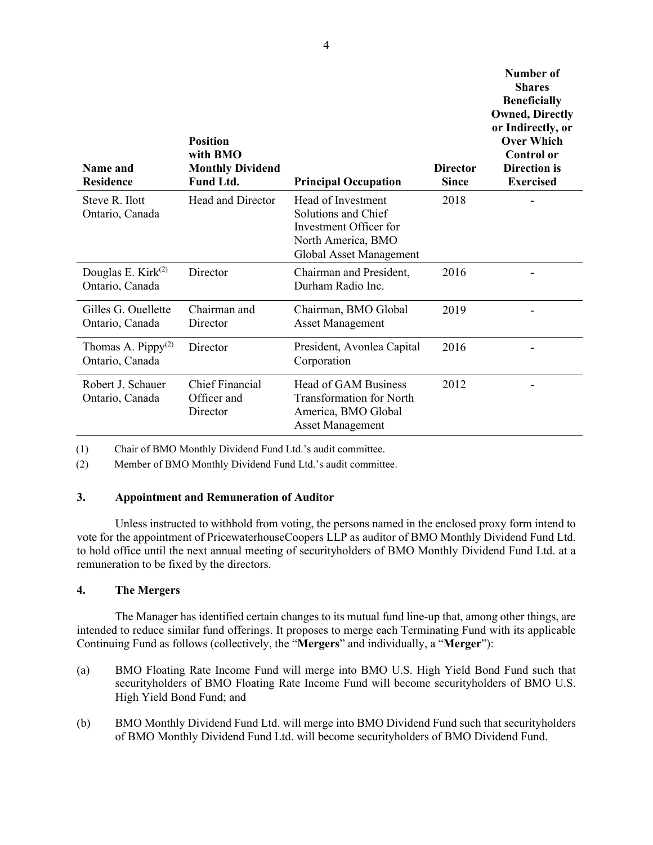| Name and<br><b>Residence</b>                      | <b>Position</b><br>with BMO<br><b>Monthly Dividend</b><br><b>Fund Ltd.</b> | <b>Principal Occupation</b>                                                                                          | <b>Director</b><br><b>Since</b> | Number of<br><b>Shares</b><br><b>Beneficially</b><br><b>Owned, Directly</b><br>or Indirectly, or<br><b>Over Which</b><br><b>Control or</b><br><b>Direction</b> is<br><b>Exercised</b> |
|---------------------------------------------------|----------------------------------------------------------------------------|----------------------------------------------------------------------------------------------------------------------|---------------------------------|---------------------------------------------------------------------------------------------------------------------------------------------------------------------------------------|
| Steve R. Ilott<br>Ontario, Canada                 | <b>Head and Director</b>                                                   | Head of Investment<br>Solutions and Chief<br>Investment Officer for<br>North America, BMO<br>Global Asset Management | 2018                            |                                                                                                                                                                                       |
| Douglas E. Kirk $(2)$<br>Ontario, Canada          | Director                                                                   | Chairman and President,<br>Durham Radio Inc.                                                                         | 2016                            |                                                                                                                                                                                       |
| Gilles G. Quellette<br>Ontario, Canada            | Chairman and<br>Director                                                   | Chairman, BMO Global<br><b>Asset Management</b>                                                                      | 2019                            |                                                                                                                                                                                       |
| Thomas A. Pippy <sup>(2)</sup><br>Ontario, Canada | Director                                                                   | President, Avonlea Capital<br>Corporation                                                                            | 2016                            |                                                                                                                                                                                       |
| Robert J. Schauer<br>Ontario, Canada              | <b>Chief Financial</b><br>Officer and<br>Director                          | <b>Head of GAM Business</b><br><b>Transformation for North</b><br>America, BMO Global<br><b>Asset Management</b>     | 2012                            |                                                                                                                                                                                       |

(1) Chair of BMO Monthly Dividend Fund Ltd.'s audit committee.

(2) Member of BMO Monthly Dividend Fund Ltd.'s audit committee.

## **3. Appointment and Remuneration of Auditor**

Unless instructed to withhold from voting, the persons named in the enclosed proxy form intend to vote for the appointment of PricewaterhouseCoopers LLP as auditor of BMO Monthly Dividend Fund Ltd. to hold office until the next annual meeting of securityholders of BMO Monthly Dividend Fund Ltd. at a remuneration to be fixed by the directors.

# **4. The Mergers**

The Manager has identified certain changes to its mutual fund line-up that, among other things, are intended to reduce similar fund offerings. It proposes to merge each Terminating Fund with its applicable Continuing Fund as follows (collectively, the "**Mergers**" and individually, a "**Merger**"):

- (a) BMO Floating Rate Income Fund will merge into BMO U.S. High Yield Bond Fund such that securityholders of BMO Floating Rate Income Fund will become securityholders of BMO U.S. High Yield Bond Fund; and
- (b) BMO Monthly Dividend Fund Ltd. will merge into BMO Dividend Fund such that securityholders of BMO Monthly Dividend Fund Ltd. will become securityholders of BMO Dividend Fund.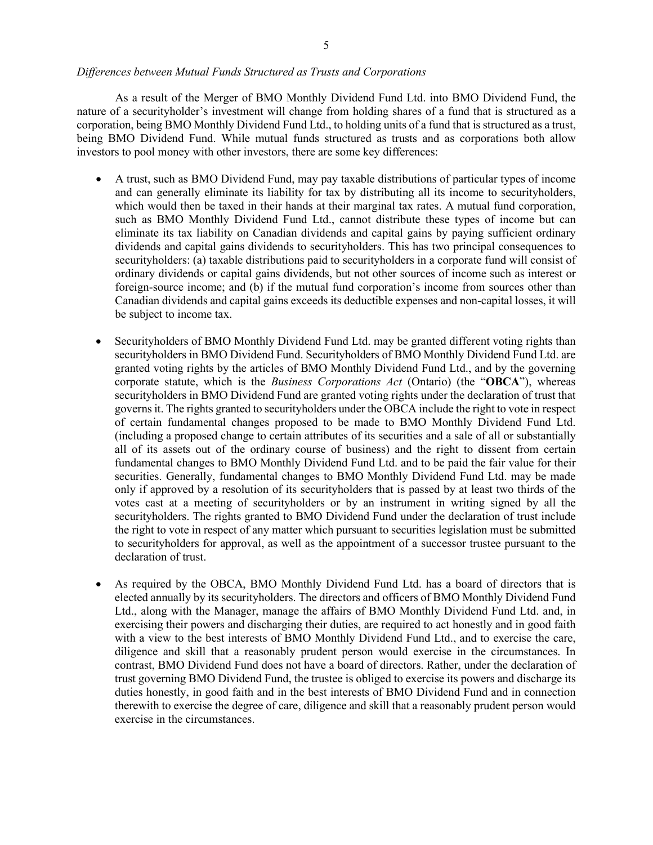# *Differences between Mutual Funds Structured as Trusts and Corporations*

As a result of the Merger of BMO Monthly Dividend Fund Ltd. into BMO Dividend Fund, the nature of a securityholder's investment will change from holding shares of a fund that is structured as a corporation, being BMO Monthly Dividend Fund Ltd., to holding units of a fund that is structured as a trust, being BMO Dividend Fund. While mutual funds structured as trusts and as corporations both allow investors to pool money with other investors, there are some key differences:

- A trust, such as BMO Dividend Fund, may pay taxable distributions of particular types of income and can generally eliminate its liability for tax by distributing all its income to securityholders, which would then be taxed in their hands at their marginal tax rates. A mutual fund corporation, such as BMO Monthly Dividend Fund Ltd., cannot distribute these types of income but can eliminate its tax liability on Canadian dividends and capital gains by paying sufficient ordinary dividends and capital gains dividends to securityholders. This has two principal consequences to securityholders: (a) taxable distributions paid to securityholders in a corporate fund will consist of ordinary dividends or capital gains dividends, but not other sources of income such as interest or foreign-source income; and (b) if the mutual fund corporation's income from sources other than Canadian dividends and capital gains exceeds its deductible expenses and non-capital losses, it will be subject to income tax.
- Securityholders of BMO Monthly Dividend Fund Ltd. may be granted different voting rights than securityholders in BMO Dividend Fund. Securityholders of BMO Monthly Dividend Fund Ltd. are granted voting rights by the articles of BMO Monthly Dividend Fund Ltd., and by the governing corporate statute, which is the *Business Corporations Act* (Ontario) (the "**OBCA**"), whereas securityholders in BMO Dividend Fund are granted voting rights under the declaration of trust that governs it. The rights granted to securityholders under the OBCA include the right to vote in respect of certain fundamental changes proposed to be made to BMO Monthly Dividend Fund Ltd. (including a proposed change to certain attributes of its securities and a sale of all or substantially all of its assets out of the ordinary course of business) and the right to dissent from certain fundamental changes to BMO Monthly Dividend Fund Ltd. and to be paid the fair value for their securities. Generally, fundamental changes to BMO Monthly Dividend Fund Ltd. may be made only if approved by a resolution of its securityholders that is passed by at least two thirds of the votes cast at a meeting of securityholders or by an instrument in writing signed by all the securityholders. The rights granted to BMO Dividend Fund under the declaration of trust include the right to vote in respect of any matter which pursuant to securities legislation must be submitted to securityholders for approval, as well as the appointment of a successor trustee pursuant to the declaration of trust.
- As required by the OBCA, BMO Monthly Dividend Fund Ltd. has a board of directors that is elected annually by its securityholders. The directors and officers of BMO Monthly Dividend Fund Ltd., along with the Manager, manage the affairs of BMO Monthly Dividend Fund Ltd. and, in exercising their powers and discharging their duties, are required to act honestly and in good faith with a view to the best interests of BMO Monthly Dividend Fund Ltd., and to exercise the care, diligence and skill that a reasonably prudent person would exercise in the circumstances. In contrast, BMO Dividend Fund does not have a board of directors. Rather, under the declaration of trust governing BMO Dividend Fund, the trustee is obliged to exercise its powers and discharge its duties honestly, in good faith and in the best interests of BMO Dividend Fund and in connection therewith to exercise the degree of care, diligence and skill that a reasonably prudent person would exercise in the circumstances.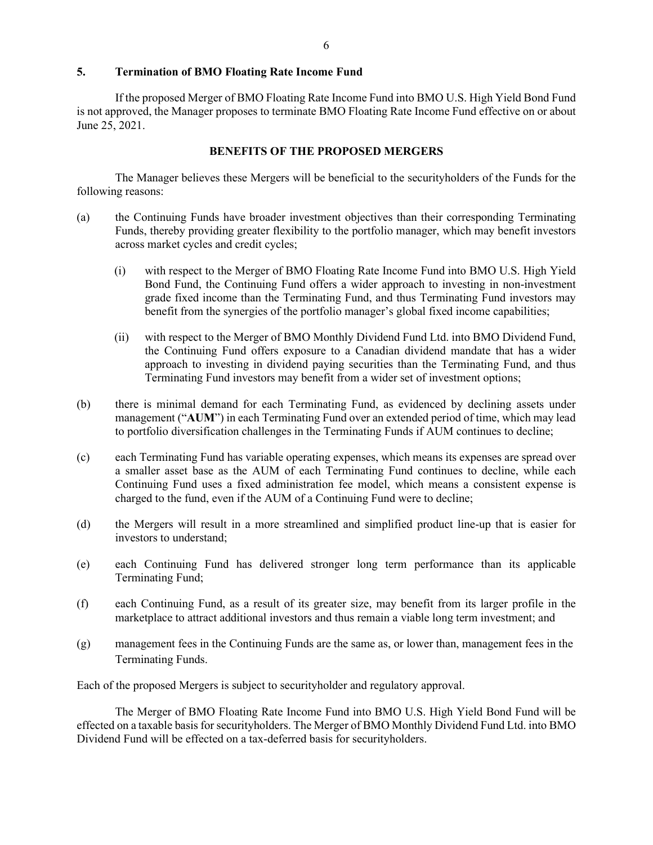## **5. Termination of BMO Floating Rate Income Fund**

If the proposed Merger of BMO Floating Rate Income Fund into BMO U.S. High Yield Bond Fund is not approved, the Manager proposes to terminate BMO Floating Rate Income Fund effective on or about June 25, 2021.

### **BENEFITS OF THE PROPOSED MERGERS**

<span id="page-7-0"></span>The Manager believes these Mergers will be beneficial to the securityholders of the Funds for the following reasons:

- (a) the Continuing Funds have broader investment objectives than their corresponding Terminating Funds, thereby providing greater flexibility to the portfolio manager, which may benefit investors across market cycles and credit cycles;
	- (i) with respect to the Merger of BMO Floating Rate Income Fund into BMO U.S. High Yield Bond Fund, the Continuing Fund offers a wider approach to investing in non-investment grade fixed income than the Terminating Fund, and thus Terminating Fund investors may benefit from the synergies of the portfolio manager's global fixed income capabilities;
	- (ii) with respect to the Merger of BMO Monthly Dividend Fund Ltd. into BMO Dividend Fund, the Continuing Fund offers exposure to a Canadian dividend mandate that has a wider approach to investing in dividend paying securities than the Terminating Fund, and thus Terminating Fund investors may benefit from a wider set of investment options;
- (b) there is minimal demand for each Terminating Fund, as evidenced by declining assets under management ("**AUM**") in each Terminating Fund over an extended period of time, which may lead to portfolio diversification challenges in the Terminating Funds if AUM continues to decline;
- (c) each Terminating Fund has variable operating expenses, which means its expenses are spread over a smaller asset base as the AUM of each Terminating Fund continues to decline, while each Continuing Fund uses a fixed administration fee model, which means a consistent expense is charged to the fund, even if the AUM of a Continuing Fund were to decline;
- (d) the Mergers will result in a more streamlined and simplified product line-up that is easier for investors to understand;
- (e) each Continuing Fund has delivered stronger long term performance than its applicable Terminating Fund;
- (f) each Continuing Fund, as a result of its greater size, may benefit from its larger profile in the marketplace to attract additional investors and thus remain a viable long term investment; and
- (g) management fees in the Continuing Funds are the same as, or lower than, management fees in the Terminating Funds.

Each of the proposed Mergers is subject to securityholder and regulatory approval.

The Merger of BMO Floating Rate Income Fund into BMO U.S. High Yield Bond Fund will be effected on a taxable basis for securityholders. The Merger of BMO Monthly Dividend Fund Ltd. into BMO Dividend Fund will be effected on a tax-deferred basis for securityholders.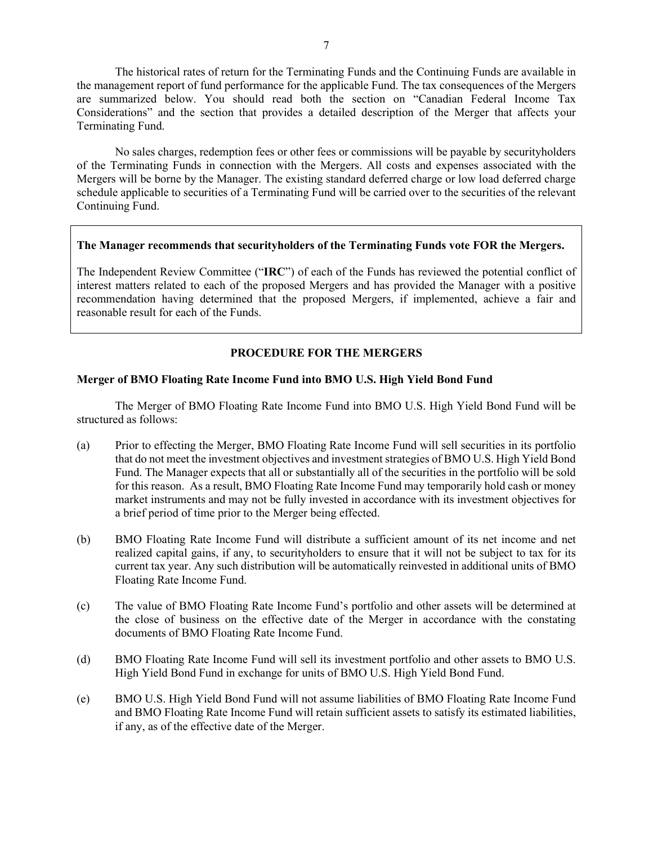The historical rates of return for the Terminating Funds and the Continuing Funds are available in the management report of fund performance for the applicable Fund. The tax consequences of the Mergers are summarized below. You should read both the section on "Canadian Federal Income Tax Considerations" and the section that provides a detailed description of the Merger that affects your Terminating Fund.

No sales charges, redemption fees or other fees or commissions will be payable by securityholders of the Terminating Funds in connection with the Mergers. All costs and expenses associated with the Mergers will be borne by the Manager. The existing standard deferred charge or low load deferred charge schedule applicable to securities of a Terminating Fund will be carried over to the securities of the relevant Continuing Fund.

# **The Manager recommends that securityholders of the Terminating Funds vote FOR the Mergers.**

The Independent Review Committee ("**IRC**") of each of the Funds has reviewed the potential conflict of interest matters related to each of the proposed Mergers and has provided the Manager with a positive recommendation having determined that the proposed Mergers, if implemented, achieve a fair and reasonable result for each of the Funds.

# **PROCEDURE FOR THE MERGERS**

# <span id="page-8-0"></span>**Merger of BMO Floating Rate Income Fund into BMO U.S. High Yield Bond Fund**

The Merger of BMO Floating Rate Income Fund into BMO U.S. High Yield Bond Fund will be structured as follows:

- (a) Prior to effecting the Merger, BMO Floating Rate Income Fund will sell securities in its portfolio that do not meet the investment objectives and investment strategies of BMO U.S. High Yield Bond Fund. The Manager expects that all or substantially all of the securities in the portfolio will be sold for this reason. As a result, BMO Floating Rate Income Fund may temporarily hold cash or money market instruments and may not be fully invested in accordance with its investment objectives for a brief period of time prior to the Merger being effected.
- (b) BMO Floating Rate Income Fund will distribute a sufficient amount of its net income and net realized capital gains, if any, to securityholders to ensure that it will not be subject to tax for its current tax year. Any such distribution will be automatically reinvested in additional units of BMO Floating Rate Income Fund.
- (c) The value of BMO Floating Rate Income Fund's portfolio and other assets will be determined at the close of business on the effective date of the Merger in accordance with the constating documents of BMO Floating Rate Income Fund.
- (d) BMO Floating Rate Income Fund will sell its investment portfolio and other assets to BMO U.S. High Yield Bond Fund in exchange for units of BMO U.S. High Yield Bond Fund.
- (e) BMO U.S. High Yield Bond Fund will not assume liabilities of BMO Floating Rate Income Fund and BMO Floating Rate Income Fund will retain sufficient assets to satisfy its estimated liabilities, if any, as of the effective date of the Merger.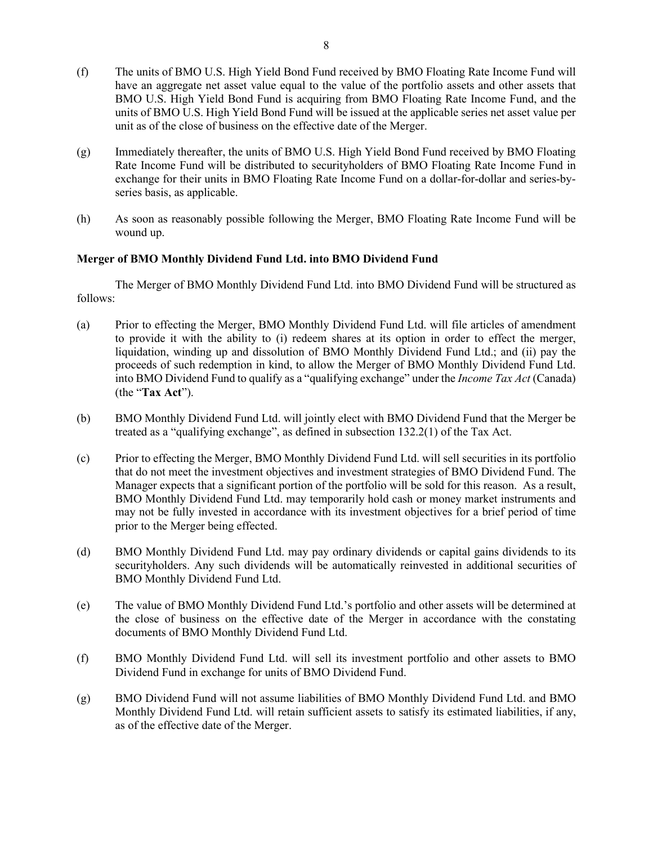- (f) The units of BMO U.S. High Yield Bond Fund received by BMO Floating Rate Income Fund will have an aggregate net asset value equal to the value of the portfolio assets and other assets that BMO U.S. High Yield Bond Fund is acquiring from BMO Floating Rate Income Fund, and the units of BMO U.S. High Yield Bond Fund will be issued at the applicable series net asset value per unit as of the close of business on the effective date of the Merger.
- (g) Immediately thereafter, the units of BMO U.S. High Yield Bond Fund received by BMO Floating Rate Income Fund will be distributed to securityholders of BMO Floating Rate Income Fund in exchange for their units in BMO Floating Rate Income Fund on a dollar-for-dollar and series-byseries basis, as applicable.
- (h) As soon as reasonably possible following the Merger, BMO Floating Rate Income Fund will be wound up.

# **Merger of BMO Monthly Dividend Fund Ltd. into BMO Dividend Fund**

The Merger of BMO Monthly Dividend Fund Ltd. into BMO Dividend Fund will be structured as follows:

- (a) Prior to effecting the Merger, BMO Monthly Dividend Fund Ltd. will file articles of amendment to provide it with the ability to (i) redeem shares at its option in order to effect the merger, liquidation, winding up and dissolution of BMO Monthly Dividend Fund Ltd.; and (ii) pay the proceeds of such redemption in kind, to allow the Merger of BMO Monthly Dividend Fund Ltd. into BMO Dividend Fund to qualify as a "qualifying exchange" under the *Income Tax Act* (Canada) (the "**Tax Act**").
- (b) BMO Monthly Dividend Fund Ltd. will jointly elect with BMO Dividend Fund that the Merger be treated as a "qualifying exchange", as defined in subsection 132.2(1) of the Tax Act.
- (c) Prior to effecting the Merger, BMO Monthly Dividend Fund Ltd. will sell securities in its portfolio that do not meet the investment objectives and investment strategies of BMO Dividend Fund. The Manager expects that a significant portion of the portfolio will be sold for this reason. As a result, BMO Monthly Dividend Fund Ltd. may temporarily hold cash or money market instruments and may not be fully invested in accordance with its investment objectives for a brief period of time prior to the Merger being effected.
- (d) BMO Monthly Dividend Fund Ltd. may pay ordinary dividends or capital gains dividends to its securityholders. Any such dividends will be automatically reinvested in additional securities of BMO Monthly Dividend Fund Ltd.
- (e) The value of BMO Monthly Dividend Fund Ltd.'s portfolio and other assets will be determined at the close of business on the effective date of the Merger in accordance with the constating documents of BMO Monthly Dividend Fund Ltd.
- (f) BMO Monthly Dividend Fund Ltd. will sell its investment portfolio and other assets to BMO Dividend Fund in exchange for units of BMO Dividend Fund.
- (g) BMO Dividend Fund will not assume liabilities of BMO Monthly Dividend Fund Ltd. and BMO Monthly Dividend Fund Ltd. will retain sufficient assets to satisfy its estimated liabilities, if any, as of the effective date of the Merger.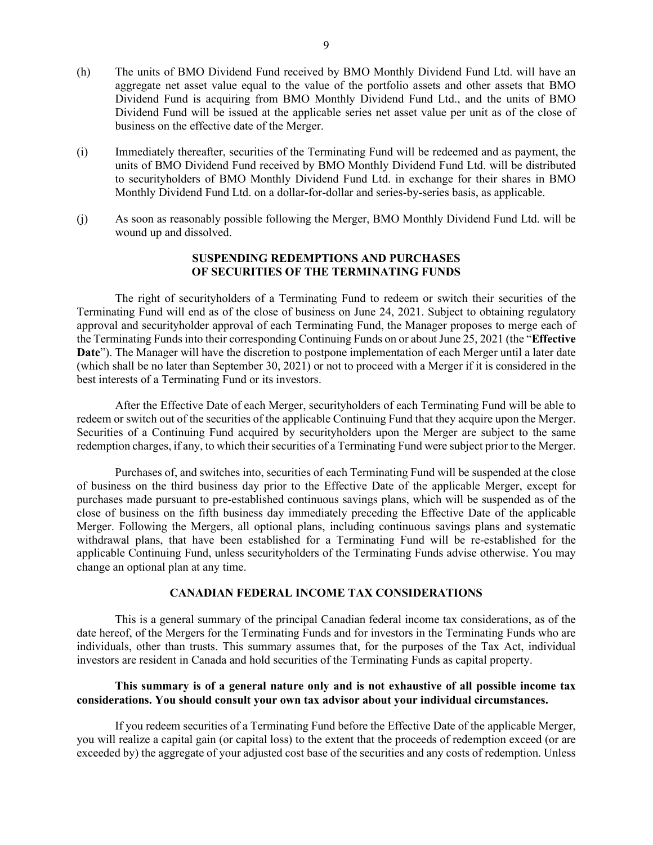- (h) The units of BMO Dividend Fund received by BMO Monthly Dividend Fund Ltd. will have an aggregate net asset value equal to the value of the portfolio assets and other assets that BMO Dividend Fund is acquiring from BMO Monthly Dividend Fund Ltd., and the units of BMO Dividend Fund will be issued at the applicable series net asset value per unit as of the close of business on the effective date of the Merger.
- (i) Immediately thereafter, securities of the Terminating Fund will be redeemed and as payment, the units of BMO Dividend Fund received by BMO Monthly Dividend Fund Ltd. will be distributed to securityholders of BMO Monthly Dividend Fund Ltd. in exchange for their shares in BMO Monthly Dividend Fund Ltd. on a dollar-for-dollar and series-by-series basis, as applicable.
- <span id="page-10-0"></span>(j) As soon as reasonably possible following the Merger, BMO Monthly Dividend Fund Ltd. will be wound up and dissolved.

# **SUSPENDING REDEMPTIONS AND PURCHASES OF SECURITIES OF THE TERMINATING FUNDS**

The right of securityholders of a Terminating Fund to redeem or switch their securities of the Terminating Fund will end as of the close of business on June 24, 2021. Subject to obtaining regulatory approval and securityholder approval of each Terminating Fund, the Manager proposes to merge each of the Terminating Fundsinto their corresponding Continuing Funds on or about June 25, 2021 (the "**Effective Date**"). The Manager will have the discretion to postpone implementation of each Merger until a later date (which shall be no later than September 30, 2021) or not to proceed with a Merger if it is considered in the best interests of a Terminating Fund or its investors.

After the Effective Date of each Merger, securityholders of each Terminating Fund will be able to redeem or switch out of the securities of the applicable Continuing Fund that they acquire upon the Merger. Securities of a Continuing Fund acquired by securityholders upon the Merger are subject to the same redemption charges, if any, to which their securities of a Terminating Fund were subject prior to the Merger.

Purchases of, and switches into, securities of each Terminating Fund will be suspended at the close of business on the third business day prior to the Effective Date of the applicable Merger, except for purchases made pursuant to pre-established continuous savings plans, which will be suspended as of the close of business on the fifth business day immediately preceding the Effective Date of the applicable Merger. Following the Mergers, all optional plans, including continuous savings plans and systematic withdrawal plans, that have been established for a Terminating Fund will be re-established for the applicable Continuing Fund, unless securityholders of the Terminating Funds advise otherwise. You may change an optional plan at any time.

## **CANADIAN FEDERAL INCOME TAX CONSIDERATIONS**

<span id="page-10-1"></span>This is a general summary of the principal Canadian federal income tax considerations, as of the date hereof, of the Mergers for the Terminating Funds and for investors in the Terminating Funds who are individuals, other than trusts. This summary assumes that, for the purposes of the Tax Act, individual investors are resident in Canada and hold securities of the Terminating Funds as capital property.

# **This summary is of a general nature only and is not exhaustive of all possible income tax considerations. You should consult your own tax advisor about your individual circumstances.**

If you redeem securities of a Terminating Fund before the Effective Date of the applicable Merger, you will realize a capital gain (or capital loss) to the extent that the proceeds of redemption exceed (or are exceeded by) the aggregate of your adjusted cost base of the securities and any costs of redemption. Unless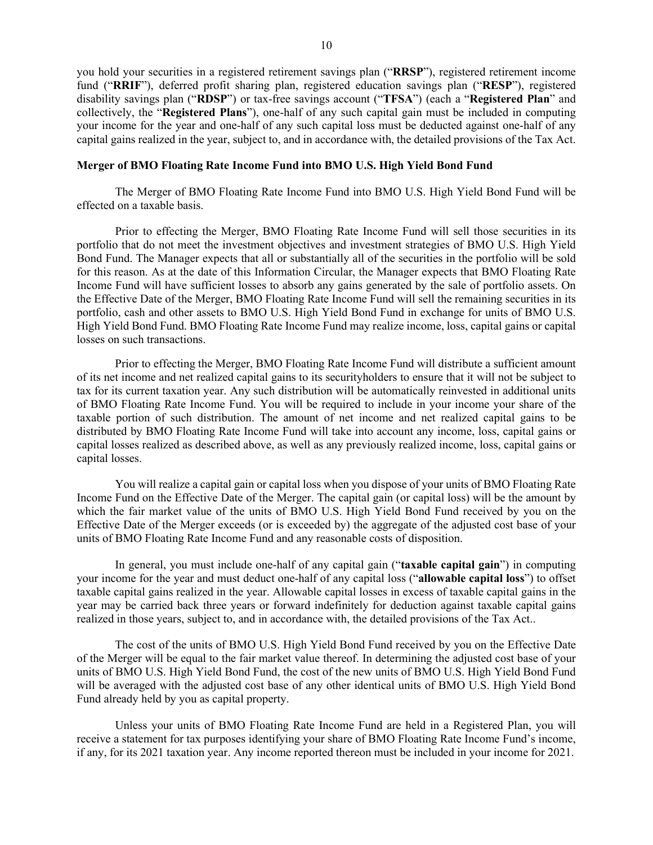you hold your securities in a registered retirement savings plan ("**RRSP**"), registered retirement income fund ("**RRIF**"), deferred profit sharing plan, registered education savings plan ("**RESP**"), registered disability savings plan ("**RDSP**") or tax-free savings account ("**TFSA**") (each a "**Registered Plan**" and collectively, the "**Registered Plans**"), one-half of any such capital gain must be included in computing your income for the year and one-half of any such capital loss must be deducted against one-half of any capital gains realized in the year, subject to, and in accordance with, the detailed provisions of the Tax Act.

### **Merger of BMO Floating Rate Income Fund into BMO U.S. High Yield Bond Fund**

The Merger of BMO Floating Rate Income Fund into BMO U.S. High Yield Bond Fund will be effected on a taxable basis.

Prior to effecting the Merger, BMO Floating Rate Income Fund will sell those securities in its portfolio that do not meet the investment objectives and investment strategies of BMO U.S. High Yield Bond Fund. The Manager expects that all or substantially all of the securities in the portfolio will be sold for this reason. As at the date of this Information Circular, the Manager expects that BMO Floating Rate Income Fund will have sufficient losses to absorb any gains generated by the sale of portfolio assets. On the Effective Date of the Merger, BMO Floating Rate Income Fund will sell the remaining securities in its portfolio, cash and other assets to BMO U.S. High Yield Bond Fund in exchange for units of BMO U.S. High Yield Bond Fund. BMO Floating Rate Income Fund may realize income, loss, capital gains or capital losses on such transactions.

Prior to effecting the Merger, BMO Floating Rate Income Fund will distribute a sufficient amount of its net income and net realized capital gains to its securityholders to ensure that it will not be subject to tax for its current taxation year. Any such distribution will be automatically reinvested in additional units of BMO Floating Rate Income Fund. You will be required to include in your income your share of the taxable portion of such distribution. The amount of net income and net realized capital gains to be distributed by BMO Floating Rate Income Fund will take into account any income, loss, capital gains or capital losses realized as described above, as well as any previously realized income, loss, capital gains or capital losses.

You will realize a capital gain or capital loss when you dispose of your units of BMO Floating Rate Income Fund on the Effective Date of the Merger. The capital gain (or capital loss) will be the amount by which the fair market value of the units of BMO U.S. High Yield Bond Fund received by you on the Effective Date of the Merger exceeds (or is exceeded by) the aggregate of the adjusted cost base of your units of BMO Floating Rate Income Fund and any reasonable costs of disposition.

In general, you must include one-half of any capital gain ("**taxable capital gain**") in computing your income for the year and must deduct one-half of any capital loss ("**allowable capital loss**") to offset taxable capital gains realized in the year. Allowable capital losses in excess of taxable capital gains in the year may be carried back three years or forward indefinitely for deduction against taxable capital gains realized in those years, subject to, and in accordance with, the detailed provisions of the Tax Act..

The cost of the units of BMO U.S. High Yield Bond Fund received by you on the Effective Date of the Merger will be equal to the fair market value thereof. In determining the adjusted cost base of your units of BMO U.S. High Yield Bond Fund, the cost of the new units of BMO U.S. High Yield Bond Fund will be averaged with the adjusted cost base of any other identical units of BMO U.S. High Yield Bond Fund already held by you as capital property.

Unless your units of BMO Floating Rate Income Fund are held in a Registered Plan, you will receive a statement for tax purposes identifying your share of BMO Floating Rate Income Fund's income, if any, for its 2021 taxation year. Any income reported thereon must be included in your income for 2021.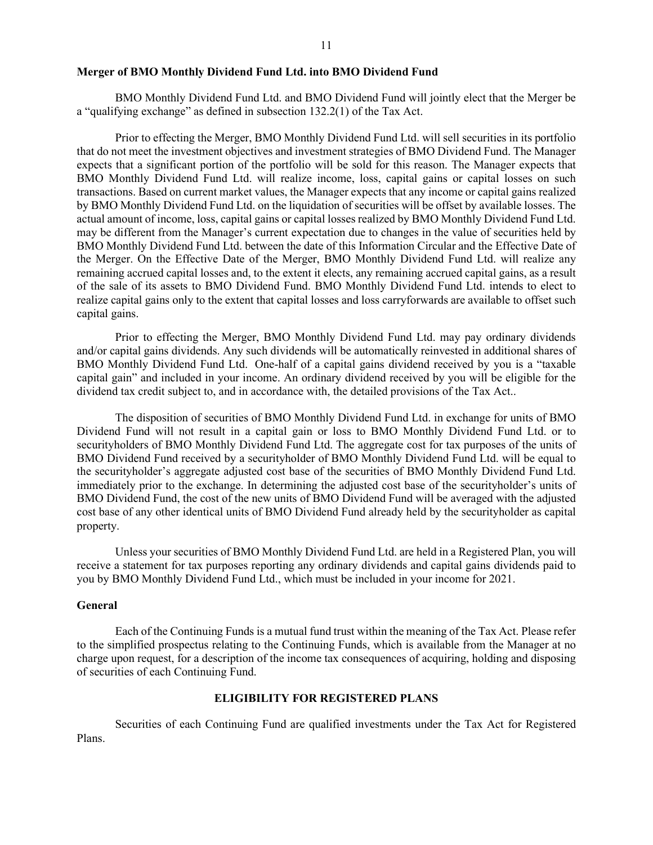## **Merger of BMO Monthly Dividend Fund Ltd. into BMO Dividend Fund**

BMO Monthly Dividend Fund Ltd. and BMO Dividend Fund will jointly elect that the Merger be a "qualifying exchange" as defined in subsection 132.2(1) of the Tax Act.

Prior to effecting the Merger, BMO Monthly Dividend Fund Ltd. will sell securities in its portfolio that do not meet the investment objectives and investment strategies of BMO Dividend Fund. The Manager expects that a significant portion of the portfolio will be sold for this reason. The Manager expects that BMO Monthly Dividend Fund Ltd. will realize income, loss, capital gains or capital losses on such transactions. Based on current market values, the Manager expects that any income or capital gains realized by BMO Monthly Dividend Fund Ltd. on the liquidation of securities will be offset by available losses. The actual amount of income, loss, capital gains or capital losses realized by BMO Monthly Dividend Fund Ltd. may be different from the Manager's current expectation due to changes in the value of securities held by BMO Monthly Dividend Fund Ltd. between the date of this Information Circular and the Effective Date of the Merger. On the Effective Date of the Merger, BMO Monthly Dividend Fund Ltd. will realize any remaining accrued capital losses and, to the extent it elects, any remaining accrued capital gains, as a result of the sale of its assets to BMO Dividend Fund. BMO Monthly Dividend Fund Ltd. intends to elect to realize capital gains only to the extent that capital losses and loss carryforwards are available to offset such capital gains.

Prior to effecting the Merger, BMO Monthly Dividend Fund Ltd. may pay ordinary dividends and/or capital gains dividends. Any such dividends will be automatically reinvested in additional shares of BMO Monthly Dividend Fund Ltd. One-half of a capital gains dividend received by you is a "taxable capital gain" and included in your income. An ordinary dividend received by you will be eligible for the dividend tax credit subject to, and in accordance with, the detailed provisions of the Tax Act..

The disposition of securities of BMO Monthly Dividend Fund Ltd. in exchange for units of BMO Dividend Fund will not result in a capital gain or loss to BMO Monthly Dividend Fund Ltd. or to securityholders of BMO Monthly Dividend Fund Ltd. The aggregate cost for tax purposes of the units of BMO Dividend Fund received by a securityholder of BMO Monthly Dividend Fund Ltd. will be equal to the securityholder's aggregate adjusted cost base of the securities of BMO Monthly Dividend Fund Ltd. immediately prior to the exchange. In determining the adjusted cost base of the securityholder's units of BMO Dividend Fund, the cost of the new units of BMO Dividend Fund will be averaged with the adjusted cost base of any other identical units of BMO Dividend Fund already held by the securityholder as capital property.

Unless your securities of BMO Monthly Dividend Fund Ltd. are held in a Registered Plan, you will receive a statement for tax purposes reporting any ordinary dividends and capital gains dividends paid to you by BMO Monthly Dividend Fund Ltd., which must be included in your income for 2021.

### **General**

Each of the Continuing Funds is a mutual fund trust within the meaning of the Tax Act. Please refer to the simplified prospectus relating to the Continuing Funds, which is available from the Manager at no charge upon request, for a description of the income tax consequences of acquiring, holding and disposing of securities of each Continuing Fund.

# **ELIGIBILITY FOR REGISTERED PLANS**

<span id="page-12-0"></span>Securities of each Continuing Fund are qualified investments under the Tax Act for Registered Plans.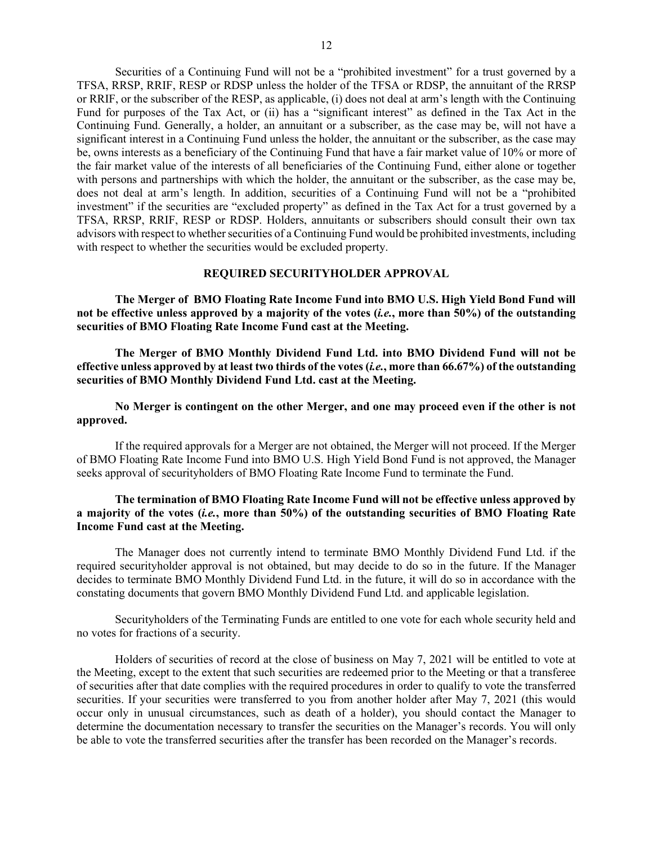Securities of a Continuing Fund will not be a "prohibited investment" for a trust governed by a TFSA, RRSP, RRIF, RESP or RDSP unless the holder of the TFSA or RDSP, the annuitant of the RRSP or RRIF, or the subscriber of the RESP, as applicable, (i) does not deal at arm's length with the Continuing Fund for purposes of the Tax Act, or (ii) has a "significant interest" as defined in the Tax Act in the Continuing Fund. Generally, a holder, an annuitant or a subscriber, as the case may be, will not have a significant interest in a Continuing Fund unless the holder, the annuitant or the subscriber, as the case may be, owns interests as a beneficiary of the Continuing Fund that have a fair market value of 10% or more of the fair market value of the interests of all beneficiaries of the Continuing Fund, either alone or together with persons and partnerships with which the holder, the annuitant or the subscriber, as the case may be, does not deal at arm's length. In addition, securities of a Continuing Fund will not be a "prohibited investment" if the securities are "excluded property" as defined in the Tax Act for a trust governed by a TFSA, RRSP, RRIF, RESP or RDSP. Holders, annuitants or subscribers should consult their own tax advisors with respect to whether securities of a Continuing Fund would be prohibited investments, including with respect to whether the securities would be excluded property.

### **REQUIRED SECURITYHOLDER APPROVAL**

<span id="page-13-0"></span>**The Merger of BMO Floating Rate Income Fund into BMO U.S. High Yield Bond Fund will not be effective unless approved by a majority of the votes (***i.e.***, more than 50%) of the outstanding securities of BMO Floating Rate Income Fund cast at the Meeting.**

**The Merger of BMO Monthly Dividend Fund Ltd. into BMO Dividend Fund will not be effective unless approved by at least two thirds of the votes (***i.e.***, more than 66.67%) of the outstanding securities of BMO Monthly Dividend Fund Ltd. cast at the Meeting.**

**No Merger is contingent on the other Merger, and one may proceed even if the other is not approved.**

If the required approvals for a Merger are not obtained, the Merger will not proceed. If the Merger of BMO Floating Rate Income Fund into BMO U.S. High Yield Bond Fund is not approved, the Manager seeks approval of securityholders of BMO Floating Rate Income Fund to terminate the Fund.

# **The termination of BMO Floating Rate Income Fund will not be effective unless approved by a majority of the votes (***i.e.***, more than 50%) of the outstanding securities of BMO Floating Rate Income Fund cast at the Meeting.**

The Manager does not currently intend to terminate BMO Monthly Dividend Fund Ltd. if the required securityholder approval is not obtained, but may decide to do so in the future. If the Manager decides to terminate BMO Monthly Dividend Fund Ltd. in the future, it will do so in accordance with the constating documents that govern BMO Monthly Dividend Fund Ltd. and applicable legislation.

Securityholders of the Terminating Funds are entitled to one vote for each whole security held and no votes for fractions of a security.

Holders of securities of record at the close of business on May 7, 2021 will be entitled to vote at the Meeting, except to the extent that such securities are redeemed prior to the Meeting or that a transferee of securities after that date complies with the required procedures in order to qualify to vote the transferred securities. If your securities were transferred to you from another holder after May 7, 2021 (this would occur only in unusual circumstances, such as death of a holder), you should contact the Manager to determine the documentation necessary to transfer the securities on the Manager's records. You will only be able to vote the transferred securities after the transfer has been recorded on the Manager's records.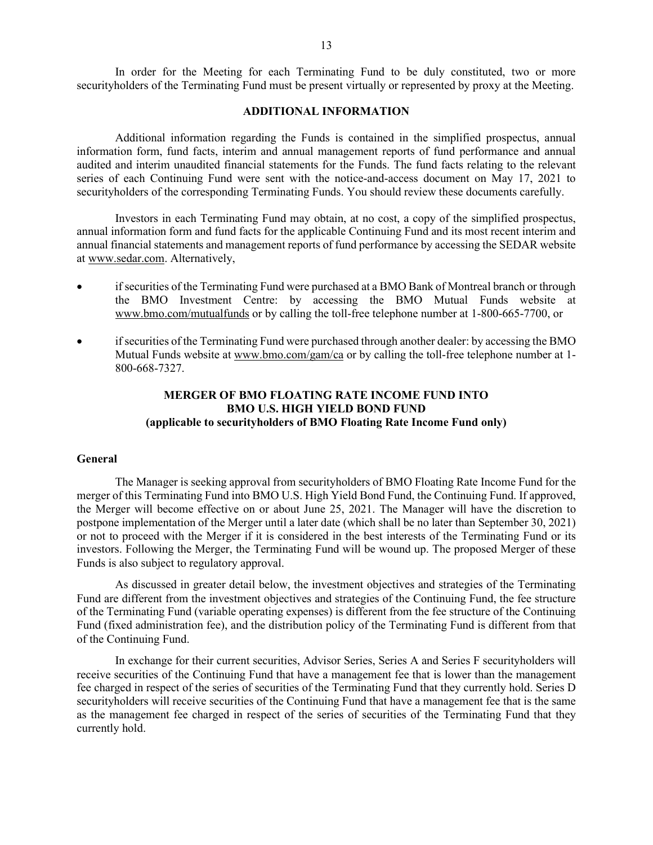In order for the Meeting for each Terminating Fund to be duly constituted, two or more securityholders of the Terminating Fund must be present virtually or represented by proxy at the Meeting.

# **ADDITIONAL INFORMATION**

<span id="page-14-0"></span>Additional information regarding the Funds is contained in the simplified prospectus, annual information form, fund facts, interim and annual management reports of fund performance and annual audited and interim unaudited financial statements for the Funds. The fund facts relating to the relevant series of each Continuing Fund were sent with the notice-and-access document on May 17, 2021 to securityholders of the corresponding Terminating Funds. You should review these documents carefully.

Investors in each Terminating Fund may obtain, at no cost, a copy of the simplified prospectus, annual information form and fund facts for the applicable Continuing Fund and its most recent interim and annual financial statements and management reports of fund performance by accessing the SEDAR website at www.sedar.com. Alternatively,

- if securities of the Terminating Fund were purchased at a BMO Bank of Montreal branch or through the BMO Investment Centre: by accessing the BMO Mutual Funds website at www.bmo.com/mutualfunds or by calling the toll-free telephone number at 1-800-665-7700, or
- <span id="page-14-1"></span>• if securities of the Terminating Fund were purchased through another dealer: by accessing the BMO Mutual Funds website at www.bmo.com/gam/ca or by calling the toll-free telephone number at 1- 800-668-7327.

# **MERGER OF BMO FLOATING RATE INCOME FUND INTO BMO U.S. HIGH YIELD BOND FUND (applicable to securityholders of BMO Floating Rate Income Fund only)**

## **General**

The Manager is seeking approval from securityholders of BMO Floating Rate Income Fund for the merger of this Terminating Fund into BMO U.S. High Yield Bond Fund, the Continuing Fund. If approved, the Merger will become effective on or about June 25, 2021. The Manager will have the discretion to postpone implementation of the Merger until a later date (which shall be no later than September 30, 2021) or not to proceed with the Merger if it is considered in the best interests of the Terminating Fund or its investors. Following the Merger, the Terminating Fund will be wound up. The proposed Merger of these Funds is also subject to regulatory approval.

As discussed in greater detail below, the investment objectives and strategies of the Terminating Fund are different from the investment objectives and strategies of the Continuing Fund, the fee structure of the Terminating Fund (variable operating expenses) is different from the fee structure of the Continuing Fund (fixed administration fee), and the distribution policy of the Terminating Fund is different from that of the Continuing Fund.

In exchange for their current securities, Advisor Series, Series A and Series F securityholders will receive securities of the Continuing Fund that have a management fee that is lower than the management fee charged in respect of the series of securities of the Terminating Fund that they currently hold. Series D securityholders will receive securities of the Continuing Fund that have a management fee that is the same as the management fee charged in respect of the series of securities of the Terminating Fund that they currently hold.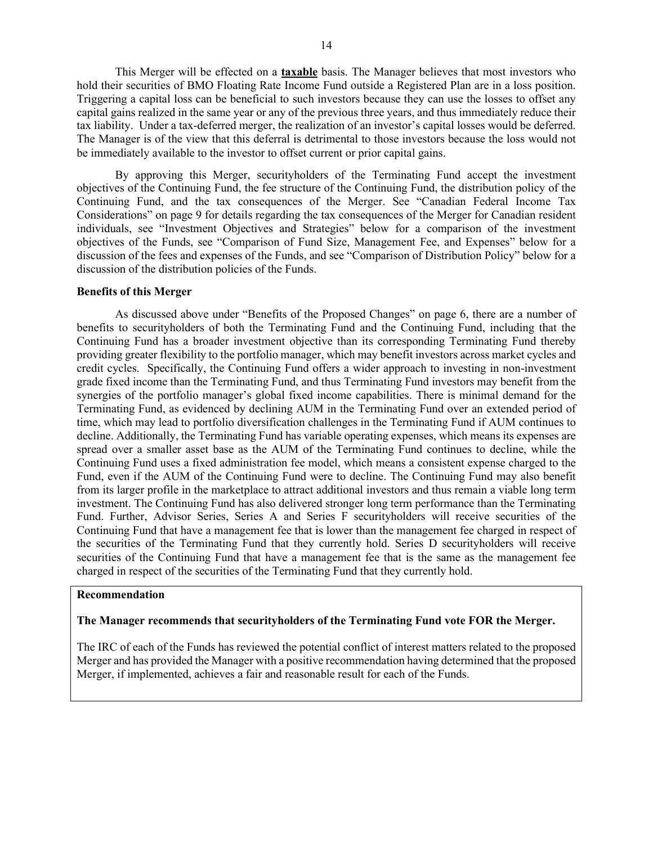This Merger will be effected on a **taxable** basis. The Manager believes that most investors who hold their securities of BMO Floating Rate Income Fund outside a Registered Plan are in a loss position. Triggering a capital loss can be beneficial to such investors because they can use the losses to offset any capital gains realized in the same year or any of the previous three years, and thus immediately reduce their tax liability. Under a tax-deferred merger, the realization of an investor's capital losses would be deferred. The Manager is of the view that this deferral is detrimental to those investors because the loss would not be immediately available to the investor to offset current or prior capital gains.

By approving this Merger, securityholders of the Terminating Fund accept the investment objectives of the Continuing Fund, the fee structure of the Continuing Fund, the distribution policy of the Continuing Fund, and the tax consequences of the Merger. See "Canadian Federal Income Tax Considerations" on page [9](#page-10-1) for details regarding the tax consequences of the Merger for Canadian resident individuals, see "Investment Objectives and Strategies" below for a comparison of the investment objectives of the Funds, see "Comparison of Fund Size, Management Fee, and Expenses" below for a discussion of the fees and expenses of the Funds, and see "Comparison of Distribution Policy" below for a discussion of the distribution policies of the Funds.

### **Benefits of this Merger**

As discussed above under "Benefits of the Proposed Changes" on page [6,](#page-7-0) there are a number of benefits to securityholders of both the Terminating Fund and the Continuing Fund, including that the Continuing Fund has a broader investment objective than its corresponding Terminating Fund thereby providing greater flexibility to the portfolio manager, which may benefit investors across market cycles and credit cycles. Specifically, the Continuing Fund offers a wider approach to investing in non-investment grade fixed income than the Terminating Fund, and thus Terminating Fund investors may benefit from the synergies of the portfolio manager's global fixed income capabilities. There is minimal demand for the Terminating Fund, as evidenced by declining AUM in the Terminating Fund over an extended period of time, which may lead to portfolio diversification challenges in the Terminating Fund if AUM continues to decline. Additionally, the Terminating Fund has variable operating expenses, which means its expenses are spread over a smaller asset base as the AUM of the Terminating Fund continues to decline, while the Continuing Fund uses a fixed administration fee model, which means a consistent expense charged to the Fund, even if the AUM of the Continuing Fund were to decline. The Continuing Fund may also benefit from its larger profile in the marketplace to attract additional investors and thus remain a viable long term investment. The Continuing Fund has also delivered stronger long term performance than the Terminating Fund. Further, Advisor Series, Series A and Series F securityholders will receive securities of the Continuing Fund that have a management fee that is lower than the management fee charged in respect of the securities of the Terminating Fund that they currently hold. Series D securityholders will receive securities of the Continuing Fund that have a management fee that is the same as the management fee charged in respect of the securities of the Terminating Fund that they currently hold.

# **Recommendation**

## **The Manager recommends that securityholders of the Terminating Fund vote FOR the Merger.**

The IRC of each of the Funds has reviewed the potential conflict of interest matters related to the proposed Merger and has provided the Manager with a positive recommendation having determined that the proposed Merger, if implemented, achieves a fair and reasonable result for each of the Funds.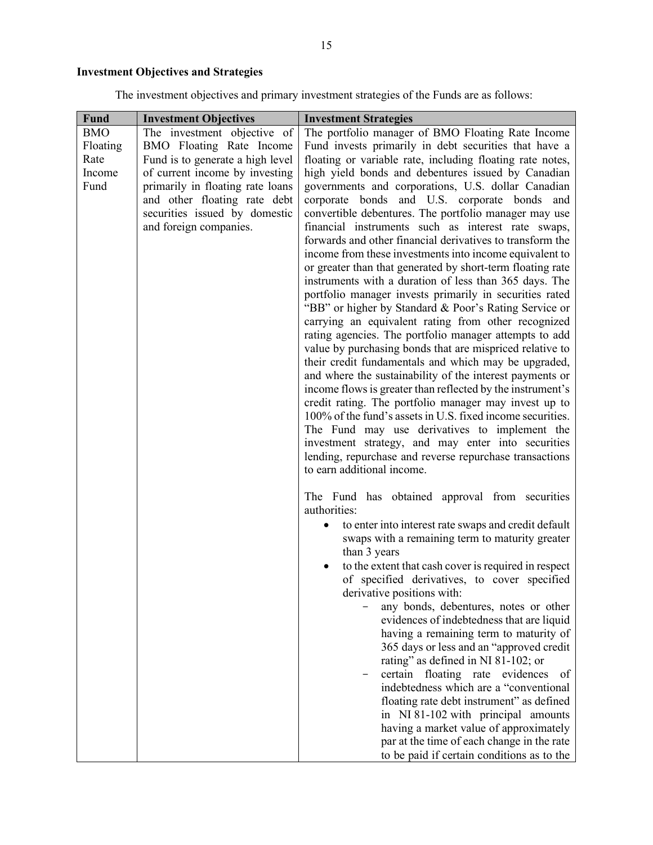# **Investment Objectives and Strategies**

The investment objectives and primary investment strategies of the Funds are as follows:

| <b>Fund</b> | <b>Investment Objectives</b>     | <b>Investment Strategies</b>                                                                                        |
|-------------|----------------------------------|---------------------------------------------------------------------------------------------------------------------|
| <b>BMO</b>  | The investment objective of      | The portfolio manager of BMO Floating Rate Income                                                                   |
| Floating    | BMO Floating Rate Income         | Fund invests primarily in debt securities that have a                                                               |
| Rate        | Fund is to generate a high level | floating or variable rate, including floating rate notes,                                                           |
| Income      | of current income by investing   | high yield bonds and debentures issued by Canadian                                                                  |
| Fund        | primarily in floating rate loans | governments and corporations, U.S. dollar Canadian                                                                  |
|             | and other floating rate debt     | corporate bonds and U.S. corporate bonds and                                                                        |
|             | securities issued by domestic    | convertible debentures. The portfolio manager may use                                                               |
|             | and foreign companies.           | financial instruments such as interest rate swaps,                                                                  |
|             |                                  | forwards and other financial derivatives to transform the                                                           |
|             |                                  | income from these investments into income equivalent to                                                             |
|             |                                  | or greater than that generated by short-term floating rate                                                          |
|             |                                  | instruments with a duration of less than 365 days. The                                                              |
|             |                                  | portfolio manager invests primarily in securities rated                                                             |
|             |                                  | "BB" or higher by Standard & Poor's Rating Service or                                                               |
|             |                                  | carrying an equivalent rating from other recognized                                                                 |
|             |                                  | rating agencies. The portfolio manager attempts to add                                                              |
|             |                                  | value by purchasing bonds that are mispriced relative to                                                            |
|             |                                  | their credit fundamentals and which may be upgraded,                                                                |
|             |                                  | and where the sustainability of the interest payments or                                                            |
|             |                                  | income flows is greater than reflected by the instrument's<br>credit rating. The portfolio manager may invest up to |
|             |                                  | 100% of the fund's assets in U.S. fixed income securities.                                                          |
|             |                                  | The Fund may use derivatives to implement the                                                                       |
|             |                                  | investment strategy, and may enter into securities                                                                  |
|             |                                  | lending, repurchase and reverse repurchase transactions                                                             |
|             |                                  | to earn additional income.                                                                                          |
|             |                                  |                                                                                                                     |
|             |                                  | The Fund has obtained approval from securities                                                                      |
|             |                                  | authorities:                                                                                                        |
|             |                                  | to enter into interest rate swaps and credit default                                                                |
|             |                                  | swaps with a remaining term to maturity greater                                                                     |
|             |                                  | than 3 years                                                                                                        |
|             |                                  | to the extent that cash cover is required in respect                                                                |
|             |                                  | of specified derivatives, to cover specified                                                                        |
|             |                                  | derivative positions with:                                                                                          |
|             |                                  | any bonds, debentures, notes or other                                                                               |
|             |                                  | evidences of indebtedness that are liquid                                                                           |
|             |                                  | having a remaining term to maturity of                                                                              |
|             |                                  | 365 days or less and an "approved credit                                                                            |
|             |                                  | rating" as defined in NI 81-102; or                                                                                 |
|             |                                  | certain floating rate evidences<br>of                                                                               |
|             |                                  | indebtedness which are a "conventional                                                                              |
|             |                                  | floating rate debt instrument" as defined                                                                           |
|             |                                  | in NI 81-102 with principal amounts                                                                                 |
|             |                                  | having a market value of approximately                                                                              |
|             |                                  | par at the time of each change in the rate                                                                          |
|             |                                  | to be paid if certain conditions as to the                                                                          |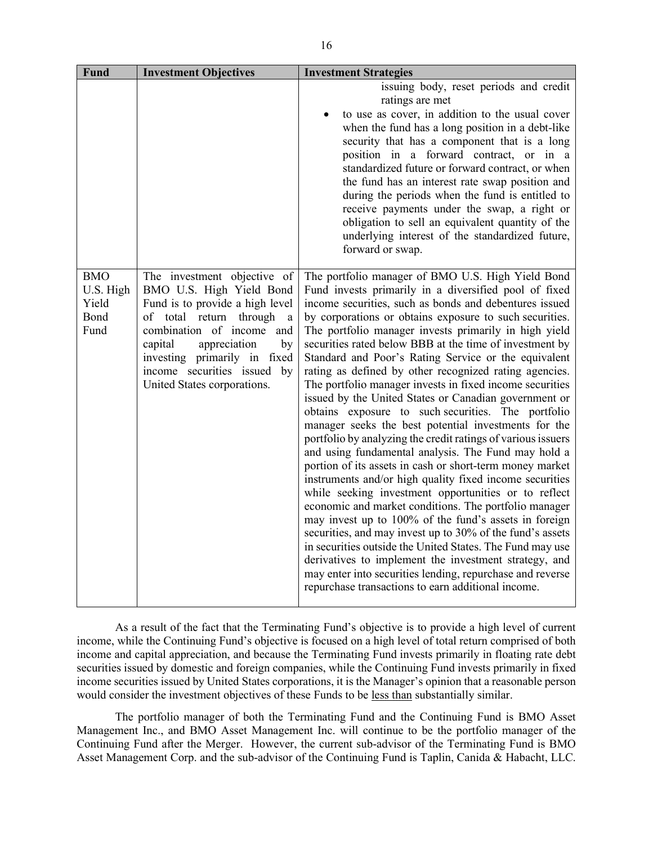| <b>Fund</b>                                      | <b>Investment Objectives</b>                                                                                                                                                                                                                                                           | <b>Investment Strategies</b>                                                                                                                                                                                                                                                                                                                                                                                                                                                                                                                                                                                                                                                                                                                                                                                                                                                                                                                                                                                                                                                                                                                                                                                                                                                                                                                                                                                                           |
|--------------------------------------------------|----------------------------------------------------------------------------------------------------------------------------------------------------------------------------------------------------------------------------------------------------------------------------------------|----------------------------------------------------------------------------------------------------------------------------------------------------------------------------------------------------------------------------------------------------------------------------------------------------------------------------------------------------------------------------------------------------------------------------------------------------------------------------------------------------------------------------------------------------------------------------------------------------------------------------------------------------------------------------------------------------------------------------------------------------------------------------------------------------------------------------------------------------------------------------------------------------------------------------------------------------------------------------------------------------------------------------------------------------------------------------------------------------------------------------------------------------------------------------------------------------------------------------------------------------------------------------------------------------------------------------------------------------------------------------------------------------------------------------------------|
|                                                  |                                                                                                                                                                                                                                                                                        | issuing body, reset periods and credit<br>ratings are met<br>to use as cover, in addition to the usual cover<br>when the fund has a long position in a debt-like<br>security that has a component that is a long<br>position in a forward contract, or in a<br>standardized future or forward contract, or when<br>the fund has an interest rate swap position and<br>during the periods when the fund is entitled to<br>receive payments under the swap, a right or<br>obligation to sell an equivalent quantity of the<br>underlying interest of the standardized future,<br>forward or swap.                                                                                                                                                                                                                                                                                                                                                                                                                                                                                                                                                                                                                                                                                                                                                                                                                                        |
| <b>BMO</b><br>U.S. High<br>Yield<br>Bond<br>Fund | The investment objective of<br>BMO U.S. High Yield Bond<br>Fund is to provide a high level<br>of total return through<br>a<br>combination of income and<br>capital<br>appreciation<br>by<br>investing primarily in fixed<br>income securities issued by<br>United States corporations. | The portfolio manager of BMO U.S. High Yield Bond<br>Fund invests primarily in a diversified pool of fixed<br>income securities, such as bonds and debentures issued<br>by corporations or obtains exposure to such securities.<br>The portfolio manager invests primarily in high yield<br>securities rated below BBB at the time of investment by<br>Standard and Poor's Rating Service or the equivalent<br>rating as defined by other recognized rating agencies.<br>The portfolio manager invests in fixed income securities<br>issued by the United States or Canadian government or<br>obtains exposure to such securities. The portfolio<br>manager seeks the best potential investments for the<br>portfolio by analyzing the credit ratings of various issuers<br>and using fundamental analysis. The Fund may hold a<br>portion of its assets in cash or short-term money market<br>instruments and/or high quality fixed income securities<br>while seeking investment opportunities or to reflect<br>economic and market conditions. The portfolio manager<br>may invest up to 100% of the fund's assets in foreign<br>securities, and may invest up to 30% of the fund's assets<br>in securities outside the United States. The Fund may use<br>derivatives to implement the investment strategy, and<br>may enter into securities lending, repurchase and reverse<br>repurchase transactions to earn additional income. |

As a result of the fact that the Terminating Fund's objective is to provide a high level of current income, while the Continuing Fund's objective is focused on a high level of total return comprised of both income and capital appreciation, and because the Terminating Fund invests primarily in floating rate debt securities issued by domestic and foreign companies, while the Continuing Fund invests primarily in fixed income securities issued by United States corporations, it is the Manager's opinion that a reasonable person would consider the investment objectives of these Funds to be less than substantially similar.

The portfolio manager of both the Terminating Fund and the Continuing Fund is BMO Asset Management Inc., and BMO Asset Management Inc. will continue to be the portfolio manager of the Continuing Fund after the Merger. However, the current sub-advisor of the Terminating Fund is BMO Asset Management Corp. and the sub-advisor of the Continuing Fund is Taplin, Canida & Habacht, LLC.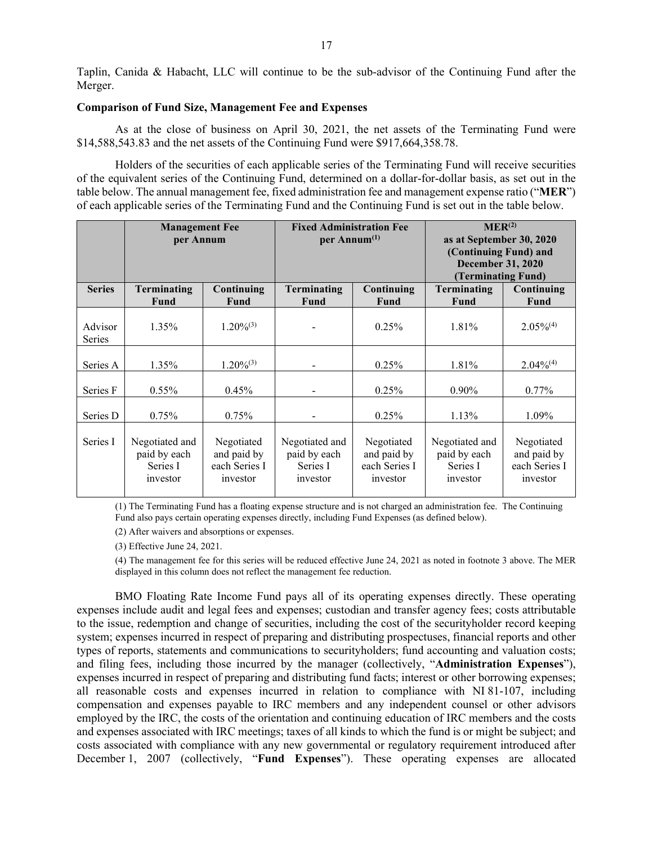Taplin, Canida & Habacht, LLC will continue to be the sub-advisor of the Continuing Fund after the Merger.

### **Comparison of Fund Size, Management Fee and Expenses**

As at the close of business on April 30, 2021, the net assets of the Terminating Fund were \$14,588,543.83 and the net assets of the Continuing Fund were \$917,664,358.78.

Holders of the securities of each applicable series of the Terminating Fund will receive securities of the equivalent series of the Continuing Fund, determined on a dollar-for-dollar basis, as set out in the table below. The annual management fee, fixed administration fee and management expense ratio ("**MER**") of each applicable series of the Terminating Fund and the Continuing Fund is set out in the table below.

|                   | <b>Management Fee</b>                                  |                                                        | <b>Fixed Administration Fee</b>                        |                                                        | MER <sup>(2)</sup>                                                            |                                                        |  |
|-------------------|--------------------------------------------------------|--------------------------------------------------------|--------------------------------------------------------|--------------------------------------------------------|-------------------------------------------------------------------------------|--------------------------------------------------------|--|
|                   | per Annum                                              |                                                        | per Annum $^{(1)}$                                     |                                                        | as at September 30, 2020<br>(Continuing Fund) and<br><b>December 31, 2020</b> |                                                        |  |
|                   |                                                        |                                                        |                                                        |                                                        | (Terminating Fund)                                                            |                                                        |  |
| <b>Series</b>     | <b>Terminating</b><br>Fund                             | Continuing<br>Fund                                     | Terminating<br>Fund                                    | Continuing<br>Fund                                     | Terminating<br><b>Fund</b>                                                    | Continuing<br>Fund                                     |  |
| Advisor<br>Series | 1.35%                                                  | $1.20\%^{(3)}$                                         |                                                        | 0.25%                                                  | 1.81%                                                                         | $2.05\%^{(4)}$                                         |  |
| Series A          | 1.35%                                                  | $1.20\%^{(3)}$                                         |                                                        | 0.25%                                                  | 1.81%                                                                         | $2.04\%^{(4)}$                                         |  |
| Series F          | $0.55\%$                                               | 0.45%                                                  |                                                        | 0.25%                                                  | $0.90\%$                                                                      | $0.77\%$                                               |  |
| Series D          | 0.75%                                                  | 0.75%                                                  |                                                        | 0.25%                                                  | 1.13%                                                                         | 1.09%                                                  |  |
| Series I          | Negotiated and<br>paid by each<br>Series I<br>investor | Negotiated<br>and paid by<br>each Series I<br>investor | Negotiated and<br>paid by each<br>Series I<br>investor | Negotiated<br>and paid by<br>each Series I<br>investor | Negotiated and<br>paid by each<br>Series I<br>investor                        | Negotiated<br>and paid by<br>each Series I<br>investor |  |

(1) The Terminating Fund has a floating expense structure and is not charged an administration fee. The Continuing Fund also pays certain operating expenses directly, including Fund Expenses (as defined below).

(2) After waivers and absorptions or expenses.

(3) Effective June 24, 2021.

(4) The management fee for this series will be reduced effective June 24, 2021 as noted in footnote 3 above. The MER displayed in this column does not reflect the management fee reduction.

BMO Floating Rate Income Fund pays all of its operating expenses directly. These operating expenses include audit and legal fees and expenses; custodian and transfer agency fees; costs attributable to the issue, redemption and change of securities, including the cost of the securityholder record keeping system; expenses incurred in respect of preparing and distributing prospectuses, financial reports and other types of reports, statements and communications to securityholders; fund accounting and valuation costs; and filing fees, including those incurred by the manager (collectively, "**Administration Expenses**"), expenses incurred in respect of preparing and distributing fund facts; interest or other borrowing expenses; all reasonable costs and expenses incurred in relation to compliance with NI 81-107, including compensation and expenses payable to IRC members and any independent counsel or other advisors employed by the IRC, the costs of the orientation and continuing education of IRC members and the costs and expenses associated with IRC meetings; taxes of all kinds to which the fund is or might be subject; and costs associated with compliance with any new governmental or regulatory requirement introduced after December 1, 2007 (collectively, "**Fund Expenses**"). These operating expenses are allocated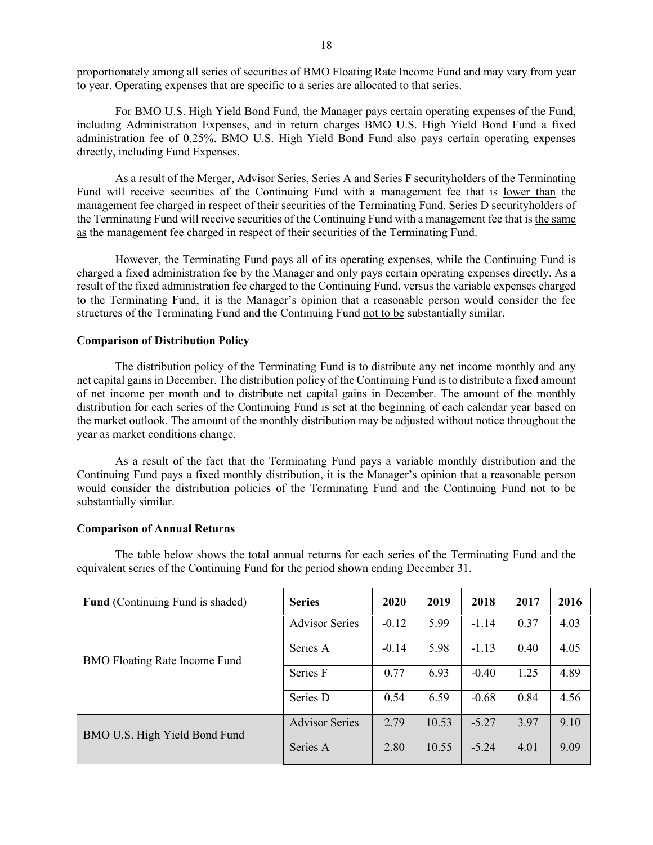proportionately among all series of securities of BMO Floating Rate Income Fund and may vary from year to year. Operating expenses that are specific to a series are allocated to that series.

For BMO U.S. High Yield Bond Fund, the Manager pays certain operating expenses of the Fund, including Administration Expenses, and in return charges BMO U.S. High Yield Bond Fund a fixed administration fee of 0.25%. BMO U.S. High Yield Bond Fund also pays certain operating expenses directly, including Fund Expenses.

As a result of the Merger, Advisor Series, Series A and Series F securityholders of the Terminating Fund will receive securities of the Continuing Fund with a management fee that is lower than the management fee charged in respect of their securities of the Terminating Fund. Series D securityholders of the Terminating Fund will receive securities of the Continuing Fund with a management fee that is the same as the management fee charged in respect of their securities of the Terminating Fund.

However, the Terminating Fund pays all of its operating expenses, while the Continuing Fund is charged a fixed administration fee by the Manager and only pays certain operating expenses directly. As a result of the fixed administration fee charged to the Continuing Fund, versus the variable expenses charged to the Terminating Fund, it is the Manager's opinion that a reasonable person would consider the fee structures of the Terminating Fund and the Continuing Fund not to be substantially similar.

# **Comparison of Distribution Policy**

The distribution policy of the Terminating Fund is to distribute any net income monthly and any net capital gains in December. The distribution policy of the Continuing Fund is to distribute a fixed amount of net income per month and to distribute net capital gains in December. The amount of the monthly distribution for each series of the Continuing Fund is set at the beginning of each calendar year based on the market outlook. The amount of the monthly distribution may be adjusted without notice throughout the year as market conditions change.

As a result of the fact that the Terminating Fund pays a variable monthly distribution and the Continuing Fund pays a fixed monthly distribution, it is the Manager's opinion that a reasonable person would consider the distribution policies of the Terminating Fund and the Continuing Fund not to be substantially similar.

# **Comparison of Annual Returns**

The table below shows the total annual returns for each series of the Terminating Fund and the equivalent series of the Continuing Fund for the period shown ending December 31.

| <b>Fund</b> (Continuing Fund is shaded) | <b>Series</b>         | 2020    | 2019  | 2018    | 2017 | 2016 |
|-----------------------------------------|-----------------------|---------|-------|---------|------|------|
|                                         | <b>Advisor Series</b> | $-0.12$ | 5.99  | $-1.14$ | 0.37 | 4.03 |
| <b>BMO Floating Rate Income Fund</b>    | Series A              | $-0.14$ | 5.98  | $-1.13$ | 0.40 | 4.05 |
|                                         | Series F              | 0.77    | 6.93  | $-0.40$ | 1.25 | 4.89 |
|                                         | Series D              | 0.54    | 6.59  | $-0.68$ | 0.84 | 4.56 |
| BMO U.S. High Yield Bond Fund           | <b>Advisor Series</b> | 2.79    | 10.53 | $-5.27$ | 3.97 | 9.10 |
|                                         | Series A              | 2.80    | 10.55 | $-5.24$ | 4.01 | 9.09 |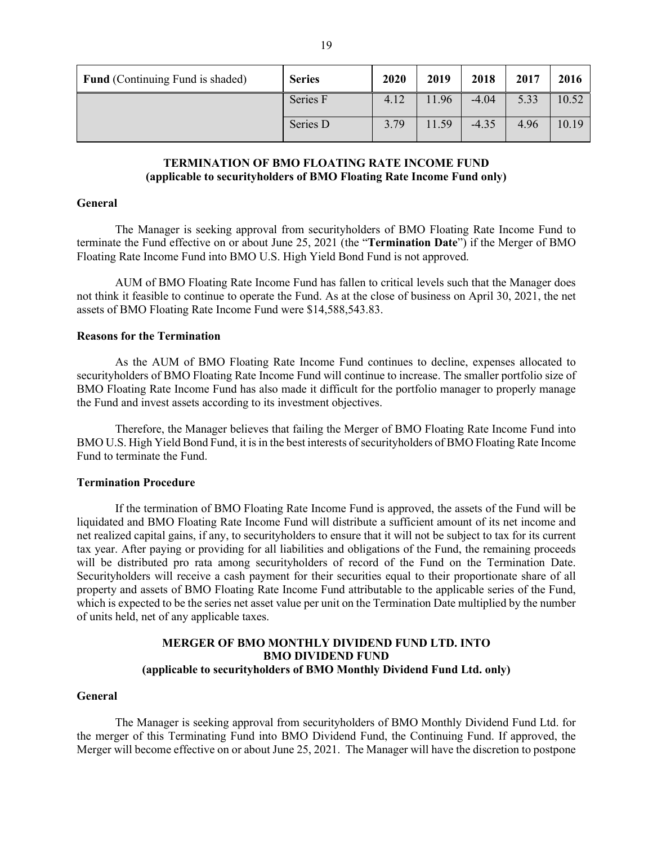| <b>Fund</b> (Continuing Fund is shaded) | <b>Series</b> | 2020 | 2019  | 2018    | 2017 | 2016  |
|-----------------------------------------|---------------|------|-------|---------|------|-------|
|                                         | Series F      | 4.12 | .96   | $-4.04$ | 5.33 | 10.52 |
|                                         | Series D      | 3.79 | 11.59 | $-4.35$ | 4.96 | 10.19 |

# **TERMINATION OF BMO FLOATING RATE INCOME FUND (applicable to securityholders of BMO Floating Rate Income Fund only)**

### <span id="page-20-0"></span>**General**

The Manager is seeking approval from securityholders of BMO Floating Rate Income Fund to terminate the Fund effective on or about June 25, 2021 (the "**Termination Date**") if the Merger of BMO Floating Rate Income Fund into BMO U.S. High Yield Bond Fund is not approved.

AUM of BMO Floating Rate Income Fund has fallen to critical levels such that the Manager does not think it feasible to continue to operate the Fund. As at the close of business on April 30, 2021, the net assets of BMO Floating Rate Income Fund were \$14,588,543.83.

### **Reasons for the Termination**

As the AUM of BMO Floating Rate Income Fund continues to decline, expenses allocated to securityholders of BMO Floating Rate Income Fund will continue to increase. The smaller portfolio size of BMO Floating Rate Income Fund has also made it difficult for the portfolio manager to properly manage the Fund and invest assets according to its investment objectives.

Therefore, the Manager believes that failing the Merger of BMO Floating Rate Income Fund into BMO U.S. High Yield Bond Fund, it is in the best interests of securityholders of BMO Floating Rate Income Fund to terminate the Fund.

### **Termination Procedure**

If the termination of BMO Floating Rate Income Fund is approved, the assets of the Fund will be liquidated and BMO Floating Rate Income Fund will distribute a sufficient amount of its net income and net realized capital gains, if any, to securityholders to ensure that it will not be subject to tax for its current tax year. After paying or providing for all liabilities and obligations of the Fund, the remaining proceeds will be distributed pro rata among securityholders of record of the Fund on the Termination Date. Securityholders will receive a cash payment for their securities equal to their proportionate share of all property and assets of BMO Floating Rate Income Fund attributable to the applicable series of the Fund, which is expected to be the series net asset value per unit on the Termination Date multiplied by the number of units held, net of any applicable taxes.

# **MERGER OF BMO MONTHLY DIVIDEND FUND LTD. INTO BMO DIVIDEND FUND (applicable to securityholders of BMO Monthly Dividend Fund Ltd. only)**

### <span id="page-20-1"></span>**General**

The Manager is seeking approval from securityholders of BMO Monthly Dividend Fund Ltd. for the merger of this Terminating Fund into BMO Dividend Fund, the Continuing Fund. If approved, the Merger will become effective on or about June 25, 2021. The Manager will have the discretion to postpone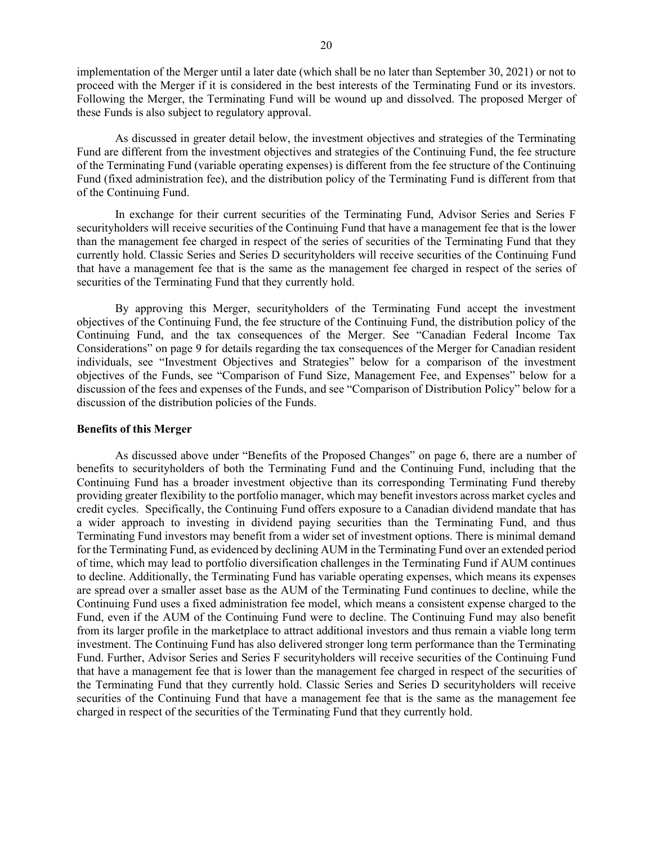implementation of the Merger until a later date (which shall be no later than September 30, 2021) or not to proceed with the Merger if it is considered in the best interests of the Terminating Fund or its investors. Following the Merger, the Terminating Fund will be wound up and dissolved. The proposed Merger of these Funds is also subject to regulatory approval.

As discussed in greater detail below, the investment objectives and strategies of the Terminating Fund are different from the investment objectives and strategies of the Continuing Fund, the fee structure of the Terminating Fund (variable operating expenses) is different from the fee structure of the Continuing Fund (fixed administration fee), and the distribution policy of the Terminating Fund is different from that of the Continuing Fund.

In exchange for their current securities of the Terminating Fund, Advisor Series and Series F securityholders will receive securities of the Continuing Fund that have a management fee that is the lower than the management fee charged in respect of the series of securities of the Terminating Fund that they currently hold. Classic Series and Series D securityholders will receive securities of the Continuing Fund that have a management fee that is the same as the management fee charged in respect of the series of securities of the Terminating Fund that they currently hold.

By approving this Merger, securityholders of the Terminating Fund accept the investment objectives of the Continuing Fund, the fee structure of the Continuing Fund, the distribution policy of the Continuing Fund, and the tax consequences of the Merger. See "Canadian Federal Income Tax Considerations" on page [9](#page-10-1) for details regarding the tax consequences of the Merger for Canadian resident individuals, see "Investment Objectives and Strategies" below for a comparison of the investment objectives of the Funds, see "Comparison of Fund Size, Management Fee, and Expenses" below for a discussion of the fees and expenses of the Funds, and see "Comparison of Distribution Policy" below for a discussion of the distribution policies of the Funds.

# **Benefits of this Merger**

As discussed above under "Benefits of the Proposed Changes" on page [6,](#page-7-0) there are a number of benefits to securityholders of both the Terminating Fund and the Continuing Fund, including that the Continuing Fund has a broader investment objective than its corresponding Terminating Fund thereby providing greater flexibility to the portfolio manager, which may benefit investors across market cycles and credit cycles. Specifically, the Continuing Fund offers exposure to a Canadian dividend mandate that has a wider approach to investing in dividend paying securities than the Terminating Fund, and thus Terminating Fund investors may benefit from a wider set of investment options. There is minimal demand for the Terminating Fund, as evidenced by declining AUM in the Terminating Fund over an extended period of time, which may lead to portfolio diversification challenges in the Terminating Fund if AUM continues to decline. Additionally, the Terminating Fund has variable operating expenses, which means its expenses are spread over a smaller asset base as the AUM of the Terminating Fund continues to decline, while the Continuing Fund uses a fixed administration fee model, which means a consistent expense charged to the Fund, even if the AUM of the Continuing Fund were to decline. The Continuing Fund may also benefit from its larger profile in the marketplace to attract additional investors and thus remain a viable long term investment. The Continuing Fund has also delivered stronger long term performance than the Terminating Fund. Further, Advisor Series and Series F securityholders will receive securities of the Continuing Fund that have a management fee that is lower than the management fee charged in respect of the securities of the Terminating Fund that they currently hold. Classic Series and Series D securityholders will receive securities of the Continuing Fund that have a management fee that is the same as the management fee charged in respect of the securities of the Terminating Fund that they currently hold.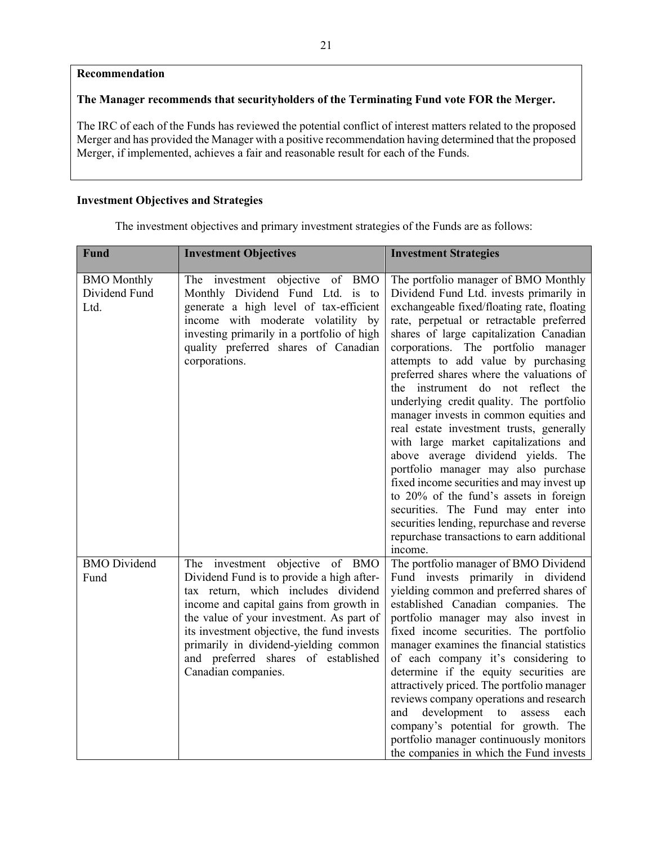# **Recommendation**

# **The Manager recommends that securityholders of the Terminating Fund vote FOR the Merger.**

The IRC of each of the Funds has reviewed the potential conflict of interest matters related to the proposed Merger and has provided the Manager with a positive recommendation having determined that the proposed Merger, if implemented, achieves a fair and reasonable result for each of the Funds.

# **Investment Objectives and Strategies**

The investment objectives and primary investment strategies of the Funds are as follows:

| <b>Fund</b>                                 | <b>Investment Objectives</b>                                                                                                                                                                                                                                                                                                                                    | <b>Investment Strategies</b>                                                                                                                                                                                                                                                                                                                                                                                                                                                                                                                                                                                                                                                                                                                                                                                                                                                     |
|---------------------------------------------|-----------------------------------------------------------------------------------------------------------------------------------------------------------------------------------------------------------------------------------------------------------------------------------------------------------------------------------------------------------------|----------------------------------------------------------------------------------------------------------------------------------------------------------------------------------------------------------------------------------------------------------------------------------------------------------------------------------------------------------------------------------------------------------------------------------------------------------------------------------------------------------------------------------------------------------------------------------------------------------------------------------------------------------------------------------------------------------------------------------------------------------------------------------------------------------------------------------------------------------------------------------|
| <b>BMO</b> Monthly<br>Dividend Fund<br>Ltd. | The investment objective of BMO<br>Monthly Dividend Fund Ltd. is to<br>generate a high level of tax-efficient<br>income with moderate volatility by<br>investing primarily in a portfolio of high<br>quality preferred shares of Canadian<br>corporations.                                                                                                      | The portfolio manager of BMO Monthly<br>Dividend Fund Ltd. invests primarily in<br>exchangeable fixed/floating rate, floating<br>rate, perpetual or retractable preferred<br>shares of large capitalization Canadian<br>corporations. The portfolio manager<br>attempts to add value by purchasing<br>preferred shares where the valuations of<br>the instrument do not reflect the<br>underlying credit quality. The portfolio<br>manager invests in common equities and<br>real estate investment trusts, generally<br>with large market capitalizations and<br>above average dividend yields. The<br>portfolio manager may also purchase<br>fixed income securities and may invest up<br>to 20% of the fund's assets in foreign<br>securities. The Fund may enter into<br>securities lending, repurchase and reverse<br>repurchase transactions to earn additional<br>income. |
| <b>BMO</b> Dividend<br>Fund                 | The investment objective of BMO<br>Dividend Fund is to provide a high after-<br>tax return, which includes dividend<br>income and capital gains from growth in<br>the value of your investment. As part of<br>its investment objective, the fund invests<br>primarily in dividend-yielding common<br>and preferred shares of established<br>Canadian companies. | The portfolio manager of BMO Dividend<br>Fund invests primarily in dividend<br>yielding common and preferred shares of<br>established Canadian companies. The<br>portfolio manager may also invest in<br>fixed income securities. The portfolio<br>manager examines the financial statistics<br>of each company it's considering to<br>determine if the equity securities are<br>attractively priced. The portfolio manager<br>reviews company operations and research<br>development to<br>and<br>assess<br>each<br>company's potential for growth. The<br>portfolio manager continuously monitors<br>the companies in which the Fund invests                                                                                                                                                                                                                                   |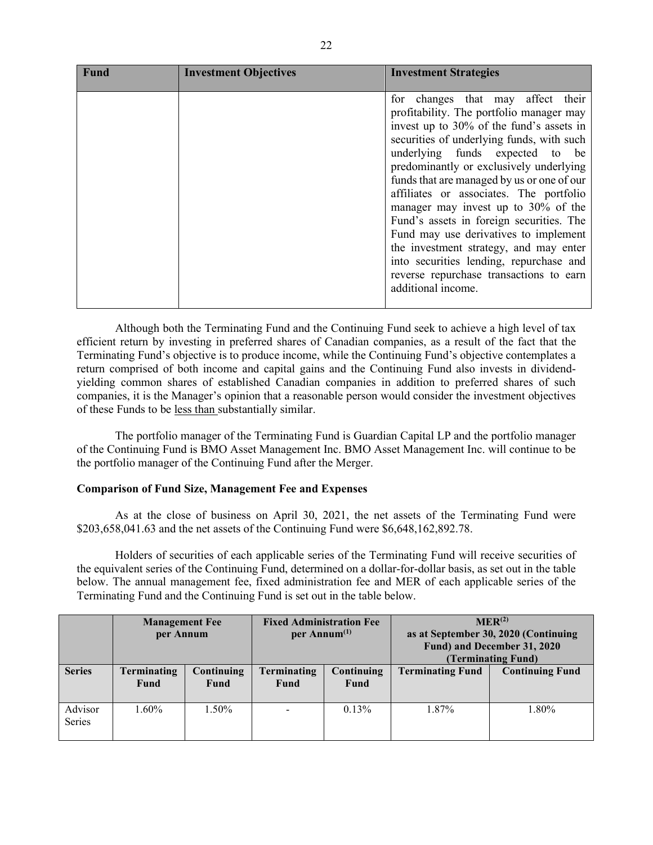| <b>Fund</b> | <b>Investment Objectives</b> | <b>Investment Strategies</b>                                                                                                                                                                                                                                                                                                                                                                                                                                                                                                                                                                                                    |
|-------------|------------------------------|---------------------------------------------------------------------------------------------------------------------------------------------------------------------------------------------------------------------------------------------------------------------------------------------------------------------------------------------------------------------------------------------------------------------------------------------------------------------------------------------------------------------------------------------------------------------------------------------------------------------------------|
|             |                              | for changes that may affect their<br>profitability. The portfolio manager may<br>invest up to 30% of the fund's assets in<br>securities of underlying funds, with such<br>underlying funds expected to be<br>predominantly or exclusively underlying<br>funds that are managed by us or one of our<br>affiliates or associates. The portfolio<br>manager may invest up to 30% of the<br>Fund's assets in foreign securities. The<br>Fund may use derivatives to implement<br>the investment strategy, and may enter<br>into securities lending, repurchase and<br>reverse repurchase transactions to earn<br>additional income. |

Although both the Terminating Fund and the Continuing Fund seek to achieve a high level of tax efficient return by investing in preferred shares of Canadian companies, as a result of the fact that the Terminating Fund's objective is to produce income, while the Continuing Fund's objective contemplates a return comprised of both income and capital gains and the Continuing Fund also invests in dividendyielding common shares of established Canadian companies in addition to preferred shares of such companies, it is the Manager's opinion that a reasonable person would consider the investment objectives of these Funds to be less than substantially similar.

The portfolio manager of the Terminating Fund is Guardian Capital LP and the portfolio manager of the Continuing Fund is BMO Asset Management Inc. BMO Asset Management Inc. will continue to be the portfolio manager of the Continuing Fund after the Merger.

# **Comparison of Fund Size, Management Fee and Expenses**

As at the close of business on April 30, 2021, the net assets of the Terminating Fund were \$203,658,041.63 and the net assets of the Continuing Fund were \$6,648,162,892.78.

Holders of securities of each applicable series of the Terminating Fund will receive securities of the equivalent series of the Continuing Fund, determined on a dollar-for-dollar basis, as set out in the table below. The annual management fee, fixed administration fee and MER of each applicable series of the Terminating Fund and the Continuing Fund is set out in the table below.

|                   | <b>Management Fee</b><br>per Annum |                           | <b>Fixed Administration Fee</b><br>per Annum $^{(1)}$ |                           |                         | $MER^{(2)}$<br>as at September 30, 2020 (Continuing<br>Fund) and December 31, 2020<br>(Terminating Fund) |
|-------------------|------------------------------------|---------------------------|-------------------------------------------------------|---------------------------|-------------------------|----------------------------------------------------------------------------------------------------------|
| <b>Series</b>     | Terminating<br><b>Fund</b>         | Continuing<br><b>Fund</b> | <b>Terminating</b><br><b>Fund</b>                     | Continuing<br><b>Fund</b> | <b>Terminating Fund</b> | <b>Continuing Fund</b>                                                                                   |
| Advisor<br>Series | 1.60%                              | $1.50\%$                  |                                                       | 0.13%                     | 1.87%                   | 1.80%                                                                                                    |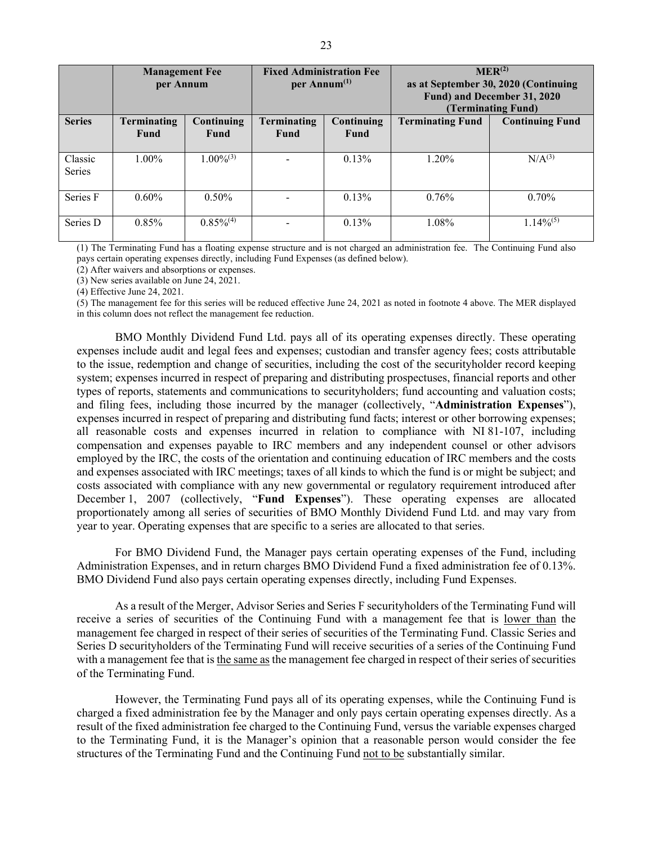|                          | <b>Management Fee</b><br>per Annum |                           | <b>Fixed Administration Fee</b><br>per Annum $^{(1)}$ |                           | MER <sup>(2)</sup><br>as at September 30, 2020 (Continuing<br>Fund) and December 31, 2020<br>(Terminating Fund) |                        |
|--------------------------|------------------------------------|---------------------------|-------------------------------------------------------|---------------------------|-----------------------------------------------------------------------------------------------------------------|------------------------|
| <b>Series</b>            | <b>Terminating</b><br><b>Fund</b>  | Continuing<br><b>Fund</b> | Terminating<br>Fund                                   | Continuing<br><b>Fund</b> | <b>Terminating Fund</b>                                                                                         | <b>Continuing Fund</b> |
| Classic<br><b>Series</b> | $1.00\%$                           | $1.00\%^{(3)}$            |                                                       | 0.13%                     | 1.20%                                                                                                           | N/A <sup>(3)</sup>     |
| Series F                 | $0.60\%$                           | $0.50\%$                  |                                                       | 0.13%                     | 0.76%                                                                                                           | $0.70\%$               |
| Series D                 | $0.85\%$                           | $0.85\%^{(4)}$            |                                                       | 0.13%                     | 1.08%                                                                                                           | $1.14\%^{(5)}$         |

(1) The Terminating Fund has a floating expense structure and is not charged an administration fee. The Continuing Fund also pays certain operating expenses directly, including Fund Expenses (as defined below).

(2) After waivers and absorptions or expenses.

(3) New series available on June 24, 2021.

(4) Effective June 24, 2021.

(5) The management fee for this series will be reduced effective June 24, 2021 as noted in footnote 4 above. The MER displayed in this column does not reflect the management fee reduction.

BMO Monthly Dividend Fund Ltd. pays all of its operating expenses directly. These operating expenses include audit and legal fees and expenses; custodian and transfer agency fees; costs attributable to the issue, redemption and change of securities, including the cost of the securityholder record keeping system; expenses incurred in respect of preparing and distributing prospectuses, financial reports and other types of reports, statements and communications to securityholders; fund accounting and valuation costs; and filing fees, including those incurred by the manager (collectively, "**Administration Expenses**"), expenses incurred in respect of preparing and distributing fund facts; interest or other borrowing expenses; all reasonable costs and expenses incurred in relation to compliance with NI 81-107, including compensation and expenses payable to IRC members and any independent counsel or other advisors employed by the IRC, the costs of the orientation and continuing education of IRC members and the costs and expenses associated with IRC meetings; taxes of all kinds to which the fund is or might be subject; and costs associated with compliance with any new governmental or regulatory requirement introduced after December 1, 2007 (collectively, "**Fund Expenses**"). These operating expenses are allocated proportionately among all series of securities of BMO Monthly Dividend Fund Ltd. and may vary from year to year. Operating expenses that are specific to a series are allocated to that series.

For BMO Dividend Fund, the Manager pays certain operating expenses of the Fund, including Administration Expenses, and in return charges BMO Dividend Fund a fixed administration fee of 0.13%. BMO Dividend Fund also pays certain operating expenses directly, including Fund Expenses.

As a result of the Merger, Advisor Series and Series F securityholders of the Terminating Fund will receive a series of securities of the Continuing Fund with a management fee that is lower than the management fee charged in respect of their series of securities of the Terminating Fund. Classic Series and Series D securityholders of the Terminating Fund will receive securities of a series of the Continuing Fund with a management fee that is the same as the management fee charged in respect of their series of securities of the Terminating Fund.

However, the Terminating Fund pays all of its operating expenses, while the Continuing Fund is charged a fixed administration fee by the Manager and only pays certain operating expenses directly. As a result of the fixed administration fee charged to the Continuing Fund, versus the variable expenses charged to the Terminating Fund, it is the Manager's opinion that a reasonable person would consider the fee structures of the Terminating Fund and the Continuing Fund not to be substantially similar.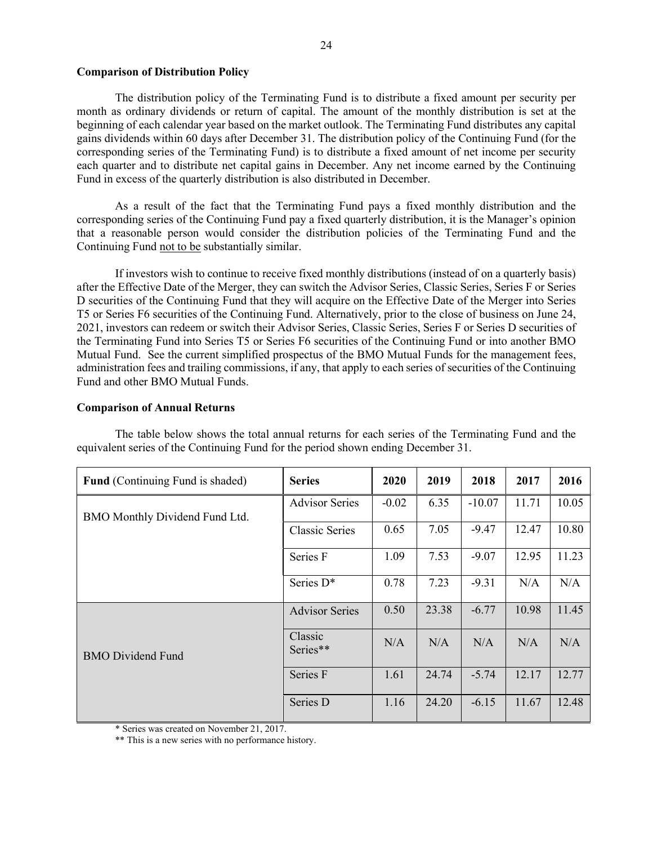### **Comparison of Distribution Policy**

The distribution policy of the Terminating Fund is to distribute a fixed amount per security per month as ordinary dividends or return of capital. The amount of the monthly distribution is set at the beginning of each calendar year based on the market outlook. The Terminating Fund distributes any capital gains dividends within 60 days after December 31. The distribution policy of the Continuing Fund (for the corresponding series of the Terminating Fund) is to distribute a fixed amount of net income per security each quarter and to distribute net capital gains in December. Any net income earned by the Continuing Fund in excess of the quarterly distribution is also distributed in December.

As a result of the fact that the Terminating Fund pays a fixed monthly distribution and the corresponding series of the Continuing Fund pay a fixed quarterly distribution, it is the Manager's opinion that a reasonable person would consider the distribution policies of the Terminating Fund and the Continuing Fund not to be substantially similar.

If investors wish to continue to receive fixed monthly distributions (instead of on a quarterly basis) after the Effective Date of the Merger, they can switch the Advisor Series, Classic Series, Series F or Series D securities of the Continuing Fund that they will acquire on the Effective Date of the Merger into Series T5 or Series F6 securities of the Continuing Fund. Alternatively, prior to the close of business on June 24, 2021, investors can redeem or switch their Advisor Series, Classic Series, Series F or Series D securities of the Terminating Fund into Series T5 or Series F6 securities of the Continuing Fund or into another BMO Mutual Fund. See the current simplified prospectus of the BMO Mutual Funds for the management fees, administration fees and trailing commissions, if any, that apply to each series of securities of the Continuing Fund and other BMO Mutual Funds.

### **Comparison of Annual Returns**

| <b>Fund</b> (Continuing Fund is shaded) | <b>Series</b>         | 2020    | 2019  | 2018     | 2017  | 2016  |
|-----------------------------------------|-----------------------|---------|-------|----------|-------|-------|
| BMO Monthly Dividend Fund Ltd.          | <b>Advisor Series</b> | $-0.02$ | 6.35  | $-10.07$ | 11.71 | 10.05 |
|                                         | <b>Classic Series</b> | 0.65    | 7.05  | $-9.47$  | 12.47 | 10.80 |
|                                         | Series F              | 1.09    | 7.53  | $-9.07$  | 12.95 | 11.23 |
|                                         | Series D*             | 0.78    | 7.23  | $-9.31$  | N/A   | N/A   |
|                                         | <b>Advisor Series</b> | 0.50    | 23.38 | $-6.77$  | 10.98 | 11.45 |
| <b>BMO</b> Dividend Fund                | Classic<br>Series**   | N/A     | N/A   | N/A      | N/A   | N/A   |
|                                         | Series F              | 1.61    | 24.74 | $-5.74$  | 12.17 | 12.77 |
|                                         | Series D              | 1.16    | 24.20 | $-6.15$  | 11.67 | 12.48 |

The table below shows the total annual returns for each series of the Terminating Fund and the equivalent series of the Continuing Fund for the period shown ending December 31.

\* Series was created on November 21, 2017.

\*\* This is a new series with no performance history.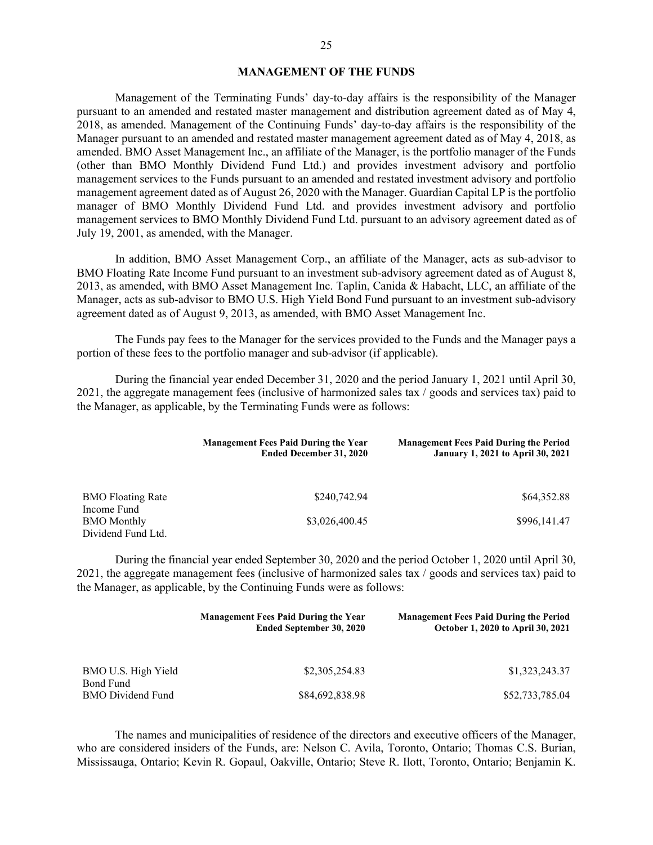### **MANAGEMENT OF THE FUNDS**

<span id="page-26-0"></span>Management of the Terminating Funds' day-to-day affairs is the responsibility of the Manager pursuant to an amended and restated master management and distribution agreement dated as of May 4, 2018, as amended. Management of the Continuing Funds' day-to-day affairs is the responsibility of the Manager pursuant to an amended and restated master management agreement dated as of May 4, 2018, as amended. BMO Asset Management Inc., an affiliate of the Manager, is the portfolio manager of the Funds (other than BMO Monthly Dividend Fund Ltd.) and provides investment advisory and portfolio management services to the Funds pursuant to an amended and restated investment advisory and portfolio management agreement dated as of August 26, 2020 with the Manager. Guardian Capital LP is the portfolio manager of BMO Monthly Dividend Fund Ltd. and provides investment advisory and portfolio management services to BMO Monthly Dividend Fund Ltd. pursuant to an advisory agreement dated as of July 19, 2001, as amended, with the Manager.

In addition, BMO Asset Management Corp., an affiliate of the Manager, acts as sub-advisor to BMO Floating Rate Income Fund pursuant to an investment sub-advisory agreement dated as of August 8, 2013, as amended, with BMO Asset Management Inc. Taplin, Canida & Habacht, LLC, an affiliate of the Manager, acts as sub-advisor to BMO U.S. High Yield Bond Fund pursuant to an investment sub-advisory agreement dated as of August 9, 2013, as amended, with BMO Asset Management Inc.

The Funds pay fees to the Manager for the services provided to the Funds and the Manager pays a portion of these fees to the portfolio manager and sub-advisor (if applicable).

During the financial year ended December 31, 2020 and the period January 1, 2021 until April 30, 2021, the aggregate management fees (inclusive of harmonized sales tax / goods and services tax) paid to the Manager, as applicable, by the Terminating Funds were as follows:

| <b>Management Fees Paid During the Year</b><br>Ended December 31, 2020 |                | <b>Management Fees Paid During the Period</b><br><b>January 1, 2021 to April 30, 2021</b> |
|------------------------------------------------------------------------|----------------|-------------------------------------------------------------------------------------------|
| <b>BMO</b> Floating Rate                                               | \$240,742.94   | \$64,352.88                                                                               |
| Income Fund<br><b>BMO</b> Monthly                                      | \$3,026,400.45 | \$996,141.47                                                                              |
| Dividend Fund Ltd.                                                     |                |                                                                                           |

During the financial year ended September 30, 2020 and the period October 1, 2020 until April 30, 2021, the aggregate management fees (inclusive of harmonized sales tax / goods and services tax) paid to the Manager, as applicable, by the Continuing Funds were as follows:

|                                              | <b>Management Fees Paid During the Year</b><br>Ended September 30, 2020 | <b>Management Fees Paid During the Period</b><br>October 1, 2020 to April 30, 2021 |
|----------------------------------------------|-------------------------------------------------------------------------|------------------------------------------------------------------------------------|
| BMO U.S. High Yield                          | \$2,305,254.83                                                          | \$1,323,243.37                                                                     |
| <b>Bond Fund</b><br><b>BMO</b> Dividend Fund | \$84,692,838.98                                                         | \$52,733,785.04                                                                    |

The names and municipalities of residence of the directors and executive officers of the Manager, who are considered insiders of the Funds, are: Nelson C. Avila, Toronto, Ontario; Thomas C.S. Burian, Mississauga, Ontario; Kevin R. Gopaul, Oakville, Ontario; Steve R. Ilott, Toronto, Ontario; Benjamin K.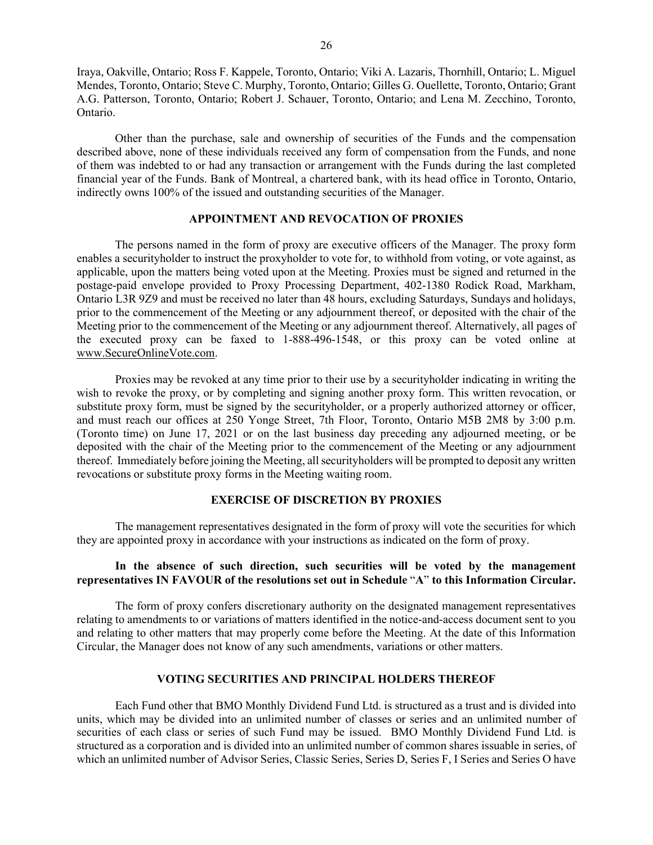Iraya, Oakville, Ontario; Ross F. Kappele, Toronto, Ontario; Viki A. Lazaris, Thornhill, Ontario; L. Miguel Mendes, Toronto, Ontario; Steve C. Murphy, Toronto, Ontario; Gilles G. Ouellette, Toronto, Ontario; Grant A.G. Patterson, Toronto, Ontario; Robert J. Schauer, Toronto, Ontario; and Lena M. Zecchino, Toronto, Ontario.

Other than the purchase, sale and ownership of securities of the Funds and the compensation described above, none of these individuals received any form of compensation from the Funds, and none of them was indebted to or had any transaction or arrangement with the Funds during the last completed financial year of the Funds. Bank of Montreal, a chartered bank, with its head office in Toronto, Ontario, indirectly owns 100% of the issued and outstanding securities of the Manager.

# **APPOINTMENT AND REVOCATION OF PROXIES**

<span id="page-27-0"></span>The persons named in the form of proxy are executive officers of the Manager. The proxy form enables a securityholder to instruct the proxyholder to vote for, to withhold from voting, or vote against, as applicable, upon the matters being voted upon at the Meeting. Proxies must be signed and returned in the postage-paid envelope provided to Proxy Processing Department, 402-1380 Rodick Road, Markham, Ontario L3R 9Z9 and must be received no later than 48 hours, excluding Saturdays, Sundays and holidays, prior to the commencement of the Meeting or any adjournment thereof, or deposited with the chair of the Meeting prior to the commencement of the Meeting or any adjournment thereof. Alternatively, all pages of the executed proxy can be faxed to 1-888-496-1548, or this proxy can be voted online at www.SecureOnlineVote.com.

Proxies may be revoked at any time prior to their use by a securityholder indicating in writing the wish to revoke the proxy, or by completing and signing another proxy form. This written revocation, or substitute proxy form, must be signed by the securityholder, or a properly authorized attorney or officer, and must reach our offices at 250 Yonge Street, 7th Floor, Toronto, Ontario M5B 2M8 by 3:00 p.m. (Toronto time) on June 17, 2021 or on the last business day preceding any adjourned meeting, or be deposited with the chair of the Meeting prior to the commencement of the Meeting or any adjournment thereof. Immediately before joining the Meeting, all securityholders will be prompted to deposit any written revocations or substitute proxy forms in the Meeting waiting room.

# **EXERCISE OF DISCRETION BY PROXIES**

<span id="page-27-1"></span>The management representatives designated in the form of proxy will vote the securities for which they are appointed proxy in accordance with your instructions as indicated on the form of proxy.

# **In the absence of such direction, such securities will be voted by the management representatives IN FAVOUR of the resolutions set out in Schedule** "**A**" **to this Information Circular.**

The form of proxy confers discretionary authority on the designated management representatives relating to amendments to or variations of matters identified in the notice-and-access document sent to you and relating to other matters that may properly come before the Meeting. At the date of this Information Circular, the Manager does not know of any such amendments, variations or other matters.

#### **VOTING SECURITIES AND PRINCIPAL HOLDERS THEREOF**

<span id="page-27-2"></span>Each Fund other that BMO Monthly Dividend Fund Ltd. is structured as a trust and is divided into units, which may be divided into an unlimited number of classes or series and an unlimited number of securities of each class or series of such Fund may be issued. BMO Monthly Dividend Fund Ltd. is structured as a corporation and is divided into an unlimited number of common shares issuable in series, of which an unlimited number of Advisor Series, Classic Series, Series D, Series F, I Series and Series O have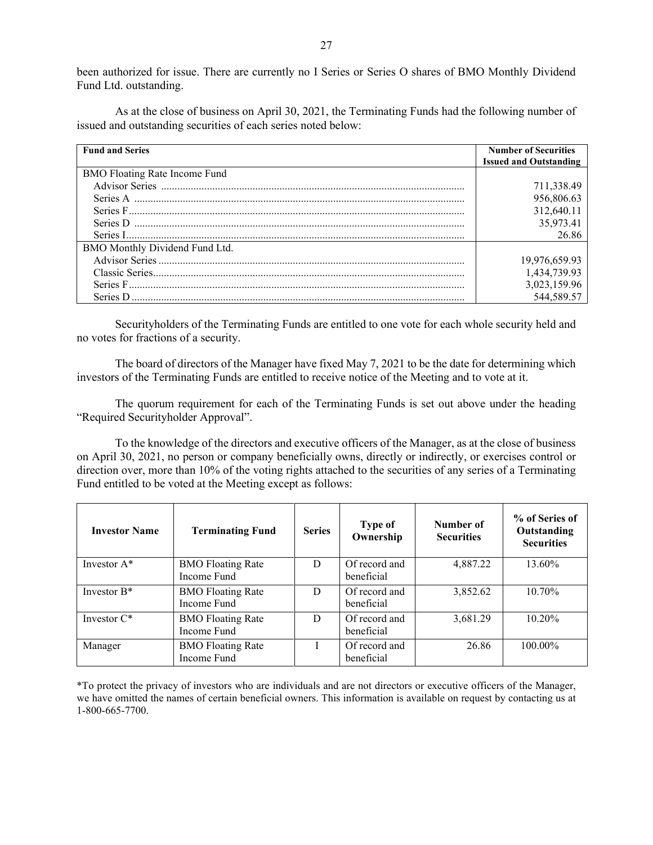been authorized for issue. There are currently no I Series or Series O shares of BMO Monthly Dividend Fund Ltd. outstanding.

As at the close of business on April 30, 2021, the Terminating Funds had the following number of issued and outstanding securities of each series noted below:

| <b>Fund and Series</b>               | <b>Number of Securities</b>   |
|--------------------------------------|-------------------------------|
|                                      | <b>Issued and Outstanding</b> |
| <b>BMO Floating Rate Income Fund</b> |                               |
|                                      | 711,338.49                    |
|                                      | 956,806.63                    |
|                                      | 312,640.11                    |
|                                      | 35,973.41                     |
|                                      | 26.86                         |
| BMO Monthly Dividend Fund Ltd.       |                               |
|                                      | 19,976,659.93                 |
|                                      | 1,434,739.93                  |
|                                      | 3,023,159.96                  |
|                                      | 544,589.57                    |

Securityholders of the Terminating Funds are entitled to one vote for each whole security held and no votes for fractions of a security.

The board of directors of the Manager have fixed May 7, 2021 to be the date for determining which investors of the Terminating Funds are entitled to receive notice of the Meeting and to vote at it.

The quorum requirement for each of the Terminating Funds is set out above under the heading "Required Securityholder Approval".

To the knowledge of the directors and executive officers of the Manager, as at the close of business on April 30, 2021, no person or company beneficially owns, directly or indirectly, or exercises control or direction over, more than 10% of the voting rights attached to the securities of any series of a Terminating Fund entitled to be voted at the Meeting except as follows:

| <b>Investor Name</b> | <b>Terminating Fund</b>                 | <b>Series</b> | <b>Type of</b><br>Ownership | Number of<br><b>Securities</b> | % of Series of<br>Outstanding<br><b>Securities</b> |
|----------------------|-----------------------------------------|---------------|-----------------------------|--------------------------------|----------------------------------------------------|
| Investor $A^*$       | <b>BMO</b> Floating Rate<br>Income Fund | D             | Of record and<br>beneficial | 4,887.22                       | 13.60%                                             |
| Investor $B^*$       | <b>BMO Floating Rate</b><br>Income Fund | D             | Of record and<br>beneficial | 3,852.62                       | $10.70\%$                                          |
| Investor $C^*$       | <b>BMO Floating Rate</b><br>Income Fund | D             | Of record and<br>beneficial | 3,681.29                       | $10.20\%$                                          |
| Manager              | <b>BMO Floating Rate</b><br>Income Fund |               | Of record and<br>beneficial | 26.86                          | $100.00\%$                                         |

\*To protect the privacy of investors who are individuals and are not directors or executive officers of the Manager, we have omitted the names of certain beneficial owners. This information is available on request by contacting us at 1-800-665-7700.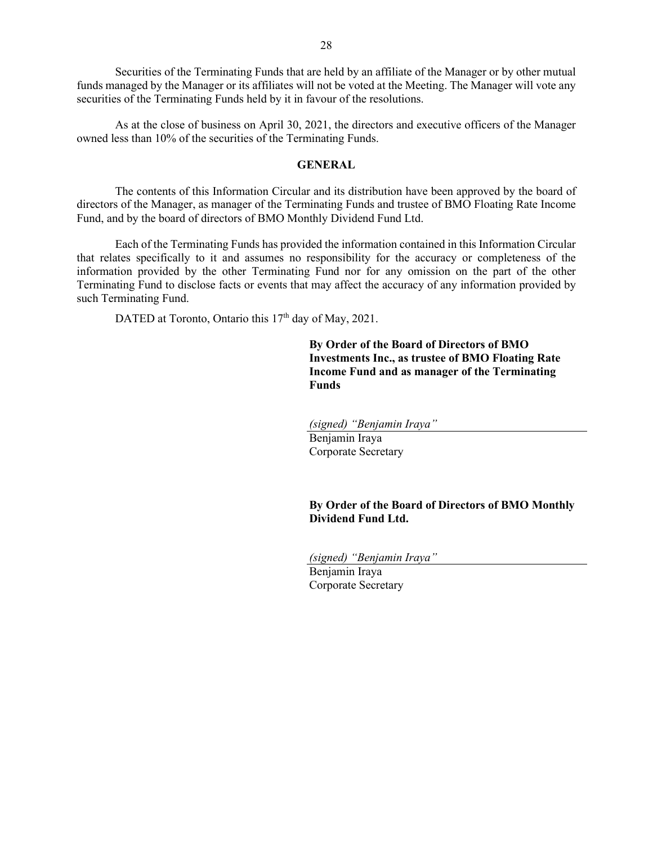Securities of the Terminating Funds that are held by an affiliate of the Manager or by other mutual funds managed by the Manager or its affiliates will not be voted at the Meeting. The Manager will vote any securities of the Terminating Funds held by it in favour of the resolutions.

As at the close of business on April 30, 2021, the directors and executive officers of the Manager owned less than 10% of the securities of the Terminating Funds.

# **GENERAL**

The contents of this Information Circular and its distribution have been approved by the board of directors of the Manager, as manager of the Terminating Funds and trustee of BMO Floating Rate Income Fund, and by the board of directors of BMO Monthly Dividend Fund Ltd.

Each of the Terminating Funds has provided the information contained in this Information Circular that relates specifically to it and assumes no responsibility for the accuracy or completeness of the information provided by the other Terminating Fund nor for any omission on the part of the other Terminating Fund to disclose facts or events that may affect the accuracy of any information provided by such Terminating Fund.

DATED at Toronto, Ontario this 17<sup>th</sup> day of May, 2021.

**By Order of the Board of Directors of BMO Investments Inc., as trustee of BMO Floating Rate Income Fund and as manager of the Terminating Funds**

*(signed) "Benjamin Iraya"* Benjamin Iraya Corporate Secretary

# **By Order of the Board of Directors of BMO Monthly Dividend Fund Ltd.**

*(signed) "Benjamin Iraya"* Benjamin Iraya Corporate Secretary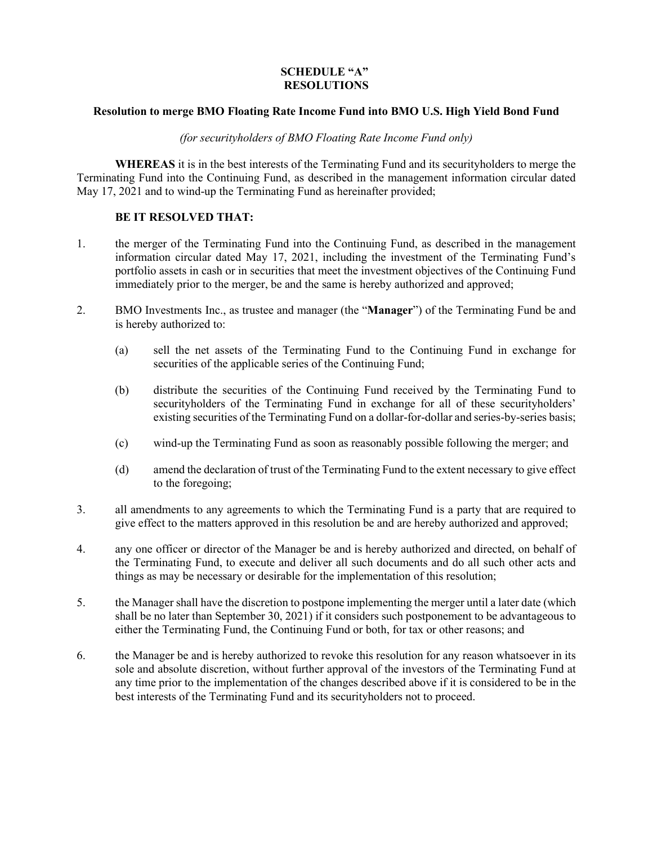# **SCHEDULE "A" RESOLUTIONS**

# <span id="page-30-0"></span>**Resolution to merge BMO Floating Rate Income Fund into BMO U.S. High Yield Bond Fund**

# *(for securityholders of BMO Floating Rate Income Fund only)*

**WHEREAS** it is in the best interests of the Terminating Fund and its securityholders to merge the Terminating Fund into the Continuing Fund, as described in the management information circular dated May 17, 2021 and to wind-up the Terminating Fund as hereinafter provided;

# **BE IT RESOLVED THAT:**

- 1. the merger of the Terminating Fund into the Continuing Fund, as described in the management information circular dated May 17, 2021, including the investment of the Terminating Fund's portfolio assets in cash or in securities that meet the investment objectives of the Continuing Fund immediately prior to the merger, be and the same is hereby authorized and approved;
- 2. BMO Investments Inc., as trustee and manager (the "**Manager**") of the Terminating Fund be and is hereby authorized to:
	- (a) sell the net assets of the Terminating Fund to the Continuing Fund in exchange for securities of the applicable series of the Continuing Fund;
	- (b) distribute the securities of the Continuing Fund received by the Terminating Fund to securityholders of the Terminating Fund in exchange for all of these securityholders' existing securities of the Terminating Fund on a dollar-for-dollar and series-by-series basis;
	- (c) wind-up the Terminating Fund as soon as reasonably possible following the merger; and
	- (d) amend the declaration of trust of the Terminating Fund to the extent necessary to give effect to the foregoing;
- 3. all amendments to any agreements to which the Terminating Fund is a party that are required to give effect to the matters approved in this resolution be and are hereby authorized and approved;
- 4. any one officer or director of the Manager be and is hereby authorized and directed, on behalf of the Terminating Fund, to execute and deliver all such documents and do all such other acts and things as may be necessary or desirable for the implementation of this resolution;
- 5. the Manager shall have the discretion to postpone implementing the merger until a later date (which shall be no later than September 30, 2021) if it considers such postponement to be advantageous to either the Terminating Fund, the Continuing Fund or both, for tax or other reasons; and
- 6. the Manager be and is hereby authorized to revoke this resolution for any reason whatsoever in its sole and absolute discretion, without further approval of the investors of the Terminating Fund at any time prior to the implementation of the changes described above if it is considered to be in the best interests of the Terminating Fund and its securityholders not to proceed.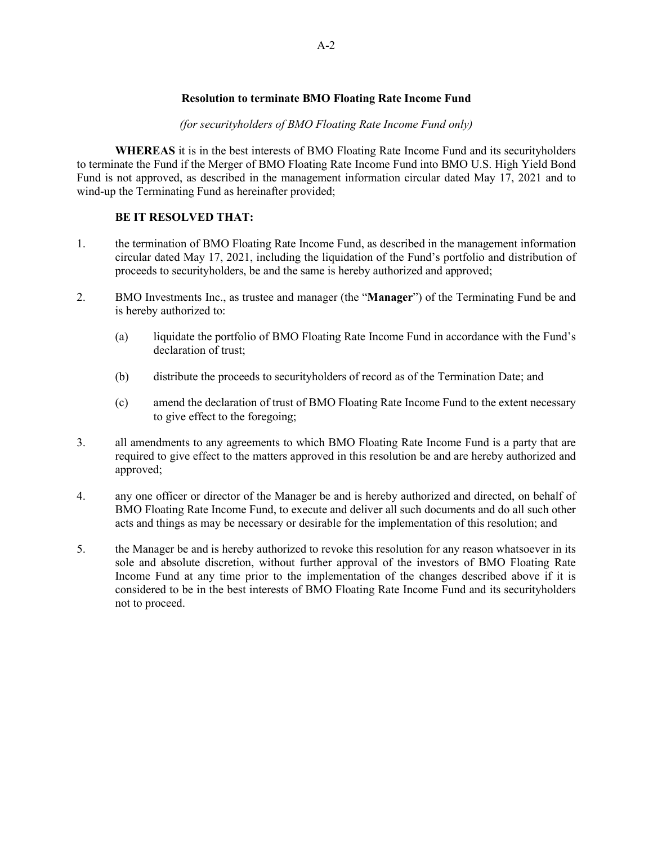# **Resolution to terminate BMO Floating Rate Income Fund**

# *(for securityholders of BMO Floating Rate Income Fund only)*

**WHEREAS** it is in the best interests of BMO Floating Rate Income Fund and its securityholders to terminate the Fund if the Merger of BMO Floating Rate Income Fund into BMO U.S. High Yield Bond Fund is not approved, as described in the management information circular dated May 17, 2021 and to wind-up the Terminating Fund as hereinafter provided;

# **BE IT RESOLVED THAT:**

- 1. the termination of BMO Floating Rate Income Fund, as described in the management information circular dated May 17, 2021, including the liquidation of the Fund's portfolio and distribution of proceeds to securityholders, be and the same is hereby authorized and approved;
- 2. BMO Investments Inc., as trustee and manager (the "**Manager**") of the Terminating Fund be and is hereby authorized to:
	- (a) liquidate the portfolio of BMO Floating Rate Income Fund in accordance with the Fund's declaration of trust;
	- (b) distribute the proceeds to securityholders of record as of the Termination Date; and
	- (c) amend the declaration of trust of BMO Floating Rate Income Fund to the extent necessary to give effect to the foregoing;
- 3. all amendments to any agreements to which BMO Floating Rate Income Fund is a party that are required to give effect to the matters approved in this resolution be and are hereby authorized and approved;
- 4. any one officer or director of the Manager be and is hereby authorized and directed, on behalf of BMO Floating Rate Income Fund, to execute and deliver all such documents and do all such other acts and things as may be necessary or desirable for the implementation of this resolution; and
- 5. the Manager be and is hereby authorized to revoke this resolution for any reason whatsoever in its sole and absolute discretion, without further approval of the investors of BMO Floating Rate Income Fund at any time prior to the implementation of the changes described above if it is considered to be in the best interests of BMO Floating Rate Income Fund and its securityholders not to proceed.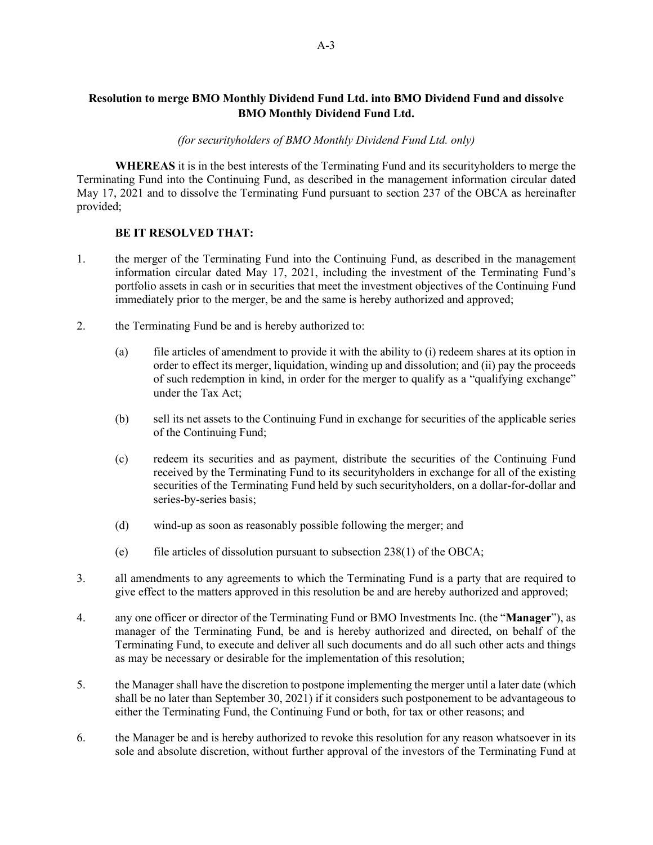# **Resolution to merge BMO Monthly Dividend Fund Ltd. into BMO Dividend Fund and dissolve BMO Monthly Dividend Fund Ltd.**

*(for securityholders of BMO Monthly Dividend Fund Ltd. only)*

**WHEREAS** it is in the best interests of the Terminating Fund and its securityholders to merge the Terminating Fund into the Continuing Fund, as described in the management information circular dated May 17, 2021 and to dissolve the Terminating Fund pursuant to section 237 of the OBCA as hereinafter provided;

## **BE IT RESOLVED THAT:**

- 1. the merger of the Terminating Fund into the Continuing Fund, as described in the management information circular dated May 17, 2021, including the investment of the Terminating Fund's portfolio assets in cash or in securities that meet the investment objectives of the Continuing Fund immediately prior to the merger, be and the same is hereby authorized and approved;
- 2. the Terminating Fund be and is hereby authorized to:
	- (a) file articles of amendment to provide it with the ability to (i) redeem shares at its option in order to effect its merger, liquidation, winding up and dissolution; and (ii) pay the proceeds of such redemption in kind, in order for the merger to qualify as a "qualifying exchange" under the Tax Act;
	- (b) sell its net assets to the Continuing Fund in exchange for securities of the applicable series of the Continuing Fund;
	- (c) redeem its securities and as payment, distribute the securities of the Continuing Fund received by the Terminating Fund to its securityholders in exchange for all of the existing securities of the Terminating Fund held by such securityholders, on a dollar-for-dollar and series-by-series basis;
	- (d) wind-up as soon as reasonably possible following the merger; and
	- (e) file articles of dissolution pursuant to subsection  $238(1)$  of the OBCA;
- 3. all amendments to any agreements to which the Terminating Fund is a party that are required to give effect to the matters approved in this resolution be and are hereby authorized and approved;
- 4. any one officer or director of the Terminating Fund or BMO Investments Inc. (the "**Manager**"), as manager of the Terminating Fund, be and is hereby authorized and directed, on behalf of the Terminating Fund, to execute and deliver all such documents and do all such other acts and things as may be necessary or desirable for the implementation of this resolution;
- 5. the Manager shall have the discretion to postpone implementing the merger until a later date (which shall be no later than September 30, 2021) if it considers such postponement to be advantageous to either the Terminating Fund, the Continuing Fund or both, for tax or other reasons; and
- 6. the Manager be and is hereby authorized to revoke this resolution for any reason whatsoever in its sole and absolute discretion, without further approval of the investors of the Terminating Fund at